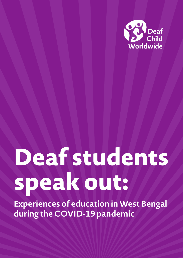

# **Deaf students speak out:**

**Experiences of education in West Bengal during the COVID-19 pandemic**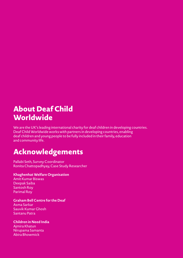# **About Deaf Child Worldwide**

We are the UK's leading international charity for deaf children in developing countries. Deaf Child Worldwide works with partners in developing countries, enabling deaf children and young people to be fully included in their family, education and community life.

# **Acknowledgements**

Pallabi Seth, Survey Coordinator Ronita Chattopadhyay, Case Study Researcher

#### **Khaghenhat Welfare Organisation**

Amit Kumar Biswas Deepak Saiba Santosh Roy Parimal Roy

#### **Graham Bell Centre for the Deaf**

Asma Sarkar Sauvik Kumar Ghosh Santanu Patra

#### **Children in Need India**

Ajmira Khatun Nirupama Samanta Abira Bhowmick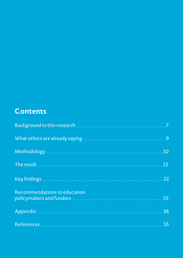# **Contents**

| Background to this research <b>with the contract of the contract of the contract of the contract of the contract of the contract of the contract of the contract of the contract of the contract of the contract of the contract</b> |     |
|--------------------------------------------------------------------------------------------------------------------------------------------------------------------------------------------------------------------------------------|-----|
|                                                                                                                                                                                                                                      |     |
| Methodology <u>Executive Community of the Community of The Community of The Community of The Community of The Co</u>                                                                                                                 | 10  |
| The result and the second contract of the second contract of the second contract of the second contract of the                                                                                                                       | 15  |
|                                                                                                                                                                                                                                      | .32 |
| Recommendations to education                                                                                                                                                                                                         | 35  |
|                                                                                                                                                                                                                                      | 36  |
| References 55                                                                                                                                                                                                                        |     |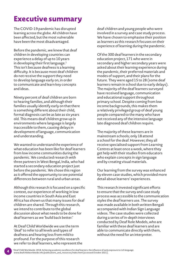# **Executive summary**

The COVID-19 pandemic has disrupted learning across the globe. All children have been affected, but the most vulnerable have been the most disadvantaged.

Before the pandemic, we knew that deaf children in developing countries can experience a delay of up to 10 years in developing their first language. $1$ This isn't because deafness is a learning difficulty. It is because most deaf children do not receive the support they need to develop language early on, in order to communicate and learn key concepts and ideas.

Ninety percent of deaf children are born to hearing families, and although their families usually identify early on that there is something different about their child, formal diagnosis can be as late as six years old. This means deaf children grow up in environments where language is largely inaccessible to them, causing delays in development of language, communication and understanding.

We wanted to understand the experience of what education has been like for deaf learners from low income communities during the pandemic. We conducted research with three partners in West Bengal, India, who had started a secondary education project just before the pandemic. We chose this region as it offered the opportunity to see potential differences between rural and urban areas.

Although this research is focused on a specific context, our experience of working in low income countries in South Asia and East Africa has shown us that many issues for deaf children are shared. Through this research, we intend to contribute to the global discussion about what needs to be done for deaf learners as we 'build back better.'

At Deaf Child Worldwide we use the term 'deaf' to refer to all levels and types of deafness and hearing loss from mild to profound. For the purpose of this research we refer to deaf learners, who represent the

**4**

deaf children and young people who were involved in a survey and case study process. We have chosen to emphasise their position as learners as this research focuses on their experience of learning during the pandemic.

Of the 300 deaf learners in the secondary education project, 171 who were in secondary and higher secondary years were asked about their learning experience during the pandemic, their preferred materials and modes of support, and their plans for the future. They were aged 15 to 28 (some deaf learners remain in school due to early delays). The majority of the deaf learners surveyed have received language, communication and educational support throughout primary school. Despite coming from low income backgrounds, this makes them a relatively privileged group of deaf young people compared to the many who have not received any of the intensive language late diagnosed deaf children require.

The majority of these learners are in mainstream schools; only 18 attend a school for the deaf. However, they all receive specialised support from Learning Centres at least once a week, where they get help with their studies from educators who explain concepts in sign language and by creating visual materials.

Our learning from the survey was enhanced by eleven case studies, which provided more detail about learners' experiences.

This research invested significant efforts to ensure that the survey and case study process was accessible to the communication styles the deaf learners use. The survey was made available in both written Bengali accompanied with Indian Sign Language videos. The case studies were collected during a series of in-depth interviews conducted by Deaf Role Models, who are familiar with these deaf learners and are able to communicate directly with them, without the need for an interpreter.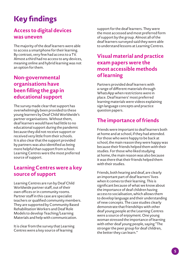# **Key findings**

# **Access to digital devices was uneven**

The majority of the deaf learners were able to access a smartphone for their learning. By contrast, very few had access to a TV. Almost a third had no access to any devices, meaning online and hybrid learning was not an option for them.

# **Non-governmental organisations have been filling the gap in educational support**

The survey made clear that support has overwhelmingly been provided to these young learners by Deaf Child Worldwide's partner organisations. Without them, deaf learners would have had little to no educational support during the pandemic because they did not receive support or received very little from their schools. It is also clear that the support provided by partners was also identified as being more helpful than support from school. Learning Centres were the most preferred source of support.

## **Learning Centres were a key source of support**

Learning Centres are run by Deaf Child Worldwide partner staff, out of their own offices or in community rooms. Partner staff in this case are specialist teachers or qualified community members. They are supported by Community Based Rehabilitation Workers and Deaf Role Models to develop Teaching/Learning Materials and help with communication.

It is clear from the survey that Learning Centres were a key source of learning

support for the deaf learners. They were the most accessed and most preferred form of support by the group. Almost all of the deaf learners surveyed said they were able to understand lessons at Learning Centres.

## **Visual material and practice exam papers were the most accessible methods of learning**

Partners provided deaf learners with a range of different materials through WhatsApp when restrictions were in place. Deaf learners' most preferred learning materials were videos explaining sign language concepts and practice question papers.

# **The importance of friends**

Friends were important to deaf learners both at home and at school, if they had attended. For those who were happy to be back at school, the main reason they were happy was because their friends helped them with their studies. For those who liked studying at home, the main reason was also because it was there that their friends helped them with their studies.

Friends, both hearing and deaf, are clearly an important part of deaf learners' lives when it comes to their learning. This is significant because of what we know about the importance of deaf children having access to socialisation, which allows them to develop language and their understanding of new concepts. The case studies clearly demonstrate that friendships with other deaf young people at the Learning Centres were a source of enjoyment. One young woman stressed the importance of learning with other deaf young people, saying "The stronger the peer group for deaf children, the better they can learn."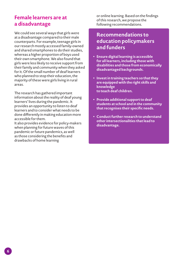#### **Female learners are at a disadvantage**

We could see several ways that girls were at a disadvantage compared to their male counterparts. For example, teenage girls in our research mostly accessed family-owned and shared smartphones to do their studies, whereas a higher proportion of boys used their own smartphone. We also found that girls were less likely to receive support from their family and community when they asked for it. Of the small number of deaf learners who planned to stop their education, the majority of these were girls living in rural areas.

The research has gathered important information about the reality of deaf young learners' lives during the pandemic. It provides an opportunity to listen to deaf learners and to consider what needs to be done differently in making education more accessible for them.

It also provides evidence for policy-makers when planning for future waves of this pandemic or future pandemics, as well as those considering the benefits and drawbacks of home learning

or online learning. Based on the findings of this research, we propose the following recommendations.

#### **Recommendations to education policymakers and funders**

- y **Ensure digital learning is accessible for all learners, including those with disabilities and those from economically disadvantaged backgrounds.**
- y **Invest in training teachers so that they are equipped with the right skills and knowledge to teach deaf children.**
- y **Provide additional support to deaf students at school and in the community that recognises their specific needs.**
- y **Conduct further research to understand other intersectionalities that lead to disadvantage.**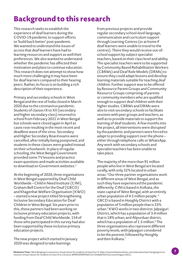# **Background to this research**

This research seeks to establish the experience of deaf learners during the COVID-19 pandemic to support efforts to 'build back better' post-pandemic. We wanted to understand the issues of access that deaf learners have had to learning resources and support as well their preferences. We also wanted to understand whether the pandemic has affected their motivation and plans to continue education. This research does not attempt to show how much more challenging it may have been for deaf learners compared to their hearing peers. Rather, its focus is on building a rich description of their experience.

Primary and secondary schools in West Bengal and the rest of India closed in March 2020 due to the coronavirus pandemic. Students of classes IX to XII (secondary and higher secondary class) returned to school from February 2021 in West Bengal but schools were closed again in April as cases rose resulting in the most recent and deadliest wave of the virus. Secondary and Higher Secondary Board exams were cancelled, after initially being postponed, and students in these classes were graded instead on their schoolwork. In place of regular schooling, the West Bengal Government provided some TV lessons and practice exam questions and made activities available to download on Government websites.<sup>2</sup>

At the beginning of 2020, three organisations in West Bengal supported by Deaf Child Worldwide – Child in Need Institute (CINI), Graham Bell Centre for the Deaf (GBCD) and Khagenhat Welfare Organisation (KWO) – started a new project titled Strengthening Inclusive Secondary Education for Deaf Children in West Bengal. Six years prior to this, these partners had been working on inclusive primary education projects, with funding from Deaf Child Worldwide. 154 of those who participated in this survey had also been supported by these inclusive primary education projects.

The new project which started in January 2020 was designed to take learnings

from previous projects and provide regular secondary school-level language, communication and curriculum support through Learning Centres (or at home if deaf learners were unable to travel to the centres). There they would receive out-ofschool support by subject specialist teachers, based on their class level and ability. The specialist teachers were to be supported by Community Based Rehabilitation Workers (CBRWs) and Deaf Role Models (DRMs) to ensure they could adapt lessons and develop learning materials suitable for teaching deaf children. Further support was to be offered by Resource Parent Groups and Community Resource Groups comprising of parents or community members who are qualified enough to support deaf children with their higher studies. CBRWs and DRMs were also to visit secondary schools to facilitate sessions with peer groups and teachers, as well as to provide materials to support the learning of deaf students. A few months into the project, all interventions were disrupted by the pandemic and partners were forced to adapt to providing support over the phone – either through telephone calls or WhatsApp. Any work with secondary schools and specialist teachers has been unable to take place.

The majority of the more than 91 million people who live in West Bengal are located rurally, with only 32% located in urban areas.3 Our three partner organisations work in different areas of West Bengal, and as such they have experienced the pandemic differently. CINI is based in Kolkata, the state capital of West Bengal, with an entirely urban population of 4.5 million people. 4 GBCD is based in Hooghly District with a population of 5 million people that is 33% urban.5 KWO works in two districts: Jalpaiguri District, which has a population of 3.4 million that is 18% urban; and Alipurduar district, which has a population of 1.5 million.<sup>6</sup> The three organisations also represent different poverty levels, with Jalpaiguri considered to be the poorest, followed by Hooghly and then Kolkata.7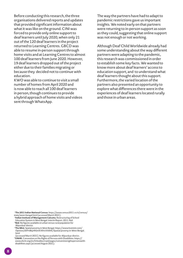Before conducting this research, the three organisations delivered reports and updates that provided significant information about what it was like on the ground. CINI was forced to provide only online support to deaf learners until July 2020, when only 21 out of the 120 deaf learners in the project returned to Learning Centres. GBCD was able to resume in-person support through home visits and at Learning Centres to almost 100 deaf learners from June 2020. However, 19 deaf learners dropped out of the project either due to their families migrating or because they decided not to continue with education.

KWO was able to continue to visit a small number of homes from April 2020 and is now able to reach all 100 deaf learners in person, though continues to provide a hybrid approach of home visits and videos sent through WhatsApp.

The way the partners have had to adapt to pandemic restrictions gave us important insights. We noted early on that partners were returning to in-person support as soon as they could, suggesting that online support was not enough or not working.

Although Deaf Child Worldwide already had some understanding about the way different partners were adapting to the pandemic, this research was commissioned in order to establish some key facts. We wanted to know more about deaf learners' access to education support, and to understand what deaf learners thought about this support. Furthermore, the varied location of the partners also presented an opportunity to explore what differences there were in the experiences of deaf learners located rurally and those in urban areas.

<sup>3</sup>**The 2011 Indian National Census**. https://www.census2011.co.in/census/ state/west+bengal.html (accessed March 2021).

- <sup>4</sup>**Indian Institute of Management Calcutta**. Restructuring of School Education System in West Bengal: Interim Report. 2011. Ibid.
- **5Ibid**. No figures available on urban versus rural population for Alipurduar district. <sup>6</sup>**The Mint**. Spatial poverty in West Bengal. https://www.livemint.com/
- Opinion/dXPv8bp492mKX9rirXX0hK/Spatial-poverty-in-West-Bengal. html
- (accessed March 2021). No figures available for Alipurduar district. **7UNHR**. Convention on the Rights of Persons with Disabilities. https:// www.ohchr.org/en/hrbodies/crpd/pages/conventionrightspersonswithdisabilities.aspx (accessed August 2021).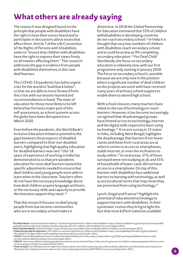# **What others are already saying**

The research was designed based on the principle that people with disabilities have the right to have their voices heard and to participate in discussions about issues that affect them. Article 7 of the UN Convention of the Rights of Persons with Disabilities seeks to "ensure that children with disabilities have the right to express their views freely on all matters affecting them." This research addresses the gap in evidence from people with disabilities themselves, in this case deaf learners.

The COVID-19 pandemic has led to urgent cries for the world to 'build back better', so that we are able to move forward from this crisis with our lessons learned and recommendations in hand. The state of education for those most likely to be left behind has formed a major part of this self-assessment, as school systems across the globe have been disrupted since March 2020.

Even before the pandemic, the World Bank's Inclusive Education Initiative pointed to the gaps between the prospects of disabled learners compared to their non-disabled peers, highlighting that high quality education for disabled learners was rare.9 Our 18 years of experience of working in India has demonstrated to us that pre-pandemic education for most deaf learners lacked the specific adjustments needed to ensure that deaf children and young people were able to learn when in the classroom. Teachers often do not have the necessary knowledge about how deaf children acquire language and learn, or the necessary skills and capacity to provide the intensive support they need.<sup>10</sup>

That this research focuses on deaf young people from low income communities who are in secondary school makes it

distinctive. In 2018 the Global Partnership for Education estimated that 55% of children withdisabilities in developing countries do not reach secondary school.<sup>11</sup> In India it is thought that very low numbers of children with disabilities reach secondary school, and it could be as low as 9% completing secondary education.<sup>12</sup> For Deaf Child Worldwide, the focus on secondary education is relatively new, with our first programme only starting in January 2020. The focus on secondary school is possible because we are only now in the position where a significant number of deaf children on the projects we work with have received many years of primary school support to enable them to attend high school.

With school closures, many teachers have relied on the use of technology to reach learners. However, it has become increasingly recognised that disadvantaged groups have limited access to technology, internet and the digital skills required to learn using technology.<sup>13</sup> A recent survey in 15 states in India, including West Bengal, highlights the disadvantage that learners from lower castes and those from rural areas are at when it comes to access to smartphones, stable internet, or even the inclination to study online.<sup>14</sup> In rural areas, 37% of those surveyed were not studying at all, and 55% of households of lower caste did not have access to a smartphone. On top of this, learners with disabilities face additional barriers to learning with technology, as well as sociocultural norms that may mean they are prevented from using technology.<sup>15</sup>

Lynch, Singal and Francia<sup>16</sup> highlight the potential of educational technology to support learners with disabilities. In their systematic review they bring to light the fact that most EdTech solutions available

<sup>8</sup>**The World Bank**. Inclusive Education Initiative: Transforming education for children with disabilities. https://www.worldbank.org/en/topic/socialsustainability/brief/inclusive-education-initiative-transforming-education-for-children-with-disabilities (accessed August 2021).

<sup>&</sup>lt;sup>10</sup>Global Partnership for Education. GPE's Work on Inclusive Education for Children with Disabilities. https://www.globalpartnership.org/sites/default/ files/2018-07-31-gpe-children-with-disabilities-factsheet.pdf (accessed October 2021).

<sup>11</sup>**UKFIET**. Examining Disability Inclusion in India's New National Education Policy. https://www.ukfiet.org/2020/examining-disability-inclusion-in-indias-new-national-education-policy/ (accessed August 2021).

<sup>12</sup>**UNICEF**. How many children and young people have internet access at home? https://data.unicef.org/resources/children-and-young-people-internet-accessat-home-during-covid19/ (accessed October 2021).

<sup>&</sup>lt;sup>13</sup>Times of India. Over 90% parents from deprived sections clamour for school reopening. https://timesofindia.indiatimes.com/home/education/news/over-90-parents-from-deprived-sections-clamour-for-school-reopening/articleshow/85979450.cms (accessed September 2021).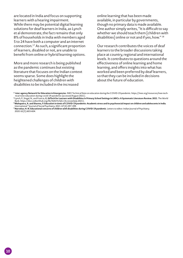are located in India and focus on supporting learners with a hearing impairment. While there may be potential digital learning solutions for deaf learners in India, as Lynch et al demonstrate, the fact remains that only 8% of households in India with members aged 5 to 24 have both a computer and an internet connection.17 As such, a significant proportion of learners, disabled or not, are unable to benefit from online or hybrid learning options.

More and more research is being published as the pandemic continues but existing literature that focuses on the Indian context seems sparse. Some does highlight the heightened challenges of children with disabilities to be included in the increased

online learning that has been made available, in particular by governments, though no primary data is made available. One author simply writes, "It is difficult to say whether we should teach them [children with disabilities] online or not and if yes, how." 18

Our research contributes the voices of deaf learners to the broader discussions taking place at country, regional and international levels. It contributes to questions around the effectiveness of online learning and home learning, and offers insights into what has worked and been preferred by deaf learners, so that they can be included in decisions about the future of education.

<sup>14</sup> I**nter-agency Network for Education in Emergencies**. INEE Technical Note on education during the COVID-19 pandemic. https://inee.org/resources/inee-technical-note-education-during-covid-19-pandemic (accessed August 2021).

<sup>15</sup>Lynch, P., Singal, N., and Francia, **G. EdTech for Learners with Disabilities in Primary School Settings in LMICs: A Systematic Literature Review. 2021**. The World Bank. https://docs.edtechhub.org/lib/XJ42VUQG (Accessed July 2021).

<sup>16</sup>**Mahapatra, A. and Sharma, P. Education in times of COVID-19 pandemic: Academic stress and its psychosocial impact on children and adolescents in India**. International 17Journal of Social Psychiatry. 2021. 67(4):397-399.

<sup>17</sup>**Narvekar, H. N. Educational concerns of children with disabilities during COVID-19 pandemic**. Letters to editor. Indian Journal of Psychiatry. 2020. 62(5):603-604.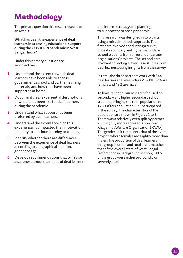# **Methodology**

The primary question this research seeks to answer is:

**What has been the experience of deaf learners in accessing educational support during the COVID-19 pandemic in West Bengal, India?** 

Under this primary question are six objectives:

- **1.** Understand the extent to which deaf learners have been able to access government, school and partner learning materials, and how they have been supported at home.
- **2.** Document clear experiential descriptions of what it has been like for deaf learners during the pandemic.
- **3.** Understand what support has been preferred by deaf learners.
- **4.** Understand the extent to which this experience has impacted their motivation or ability to continue learning or training.
- **5.** Identify whether there are differences between the experience of deaf learners according to geographical location, gender or age.
- **6.** Develop recommendations that will raise awareness about the needs of deaf learners

and inform strategy and planning to support them post-pandemic.

This research was designed in two parts, using a mixed methods approach. The first part involved conducting a survey of deaf secondary and higher secondary school students from three of our partner organisations' projects. The second part, involved collecting eleven case studies from deaf learners, using insights from the survey.

In total, the three partners work with 344 deaf learners between class V to XII. 52% are female and 48% are male.

To limit its scope, our research focused on secondary and higher secondary school students, bringing the total population to 178. Of this population, 171 participated in the survey. The characteristics of the population are shown in Figures 1 to 5. There was a relatively even split by partner, with slightly more representation from Khagenhat Welfare Organisation (KWO). The gender split represents that of the overall project, where females are slightly more than males. The proportion of deaf learners in this group in urban and rural areas matches that of the overall state of West Bengal (referenced in Background section). 89% of the group were either profoundly or severely deaf.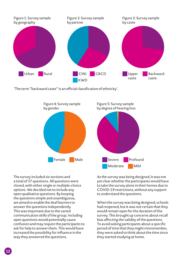

'The term ''backward caste'' is an official classification of ethnicity'.



The survey included six sections and a total of 37 questions. All questions were closed, with either single or multiple-choice options. We decided not to include any open qualitative questions. By keeping the questions simple and unambiguous, we aimed to enable the deaf learners to answer the questions independently. This was important due to the varied communication skills of the group. Including open questions would potentially cause confusion and may require the participants to ask for help to answer them. This would have increased the possibility for influence in the way they answered the questions.

As the survey was being designed, it was not yet clear whether the participants would have to take the survey alone in their homes due to COVID-19 restrictions, without any support to understand the questions.

When the survey was being designed, schools had reopened, but it was not certain that they would remain open for the duration of the survey. This brought up concerns about recall bias affecting the validity of the questions. To avoid asking participants about a specific period of time that they might misremember, they were asked to think about the time since they started studying at home.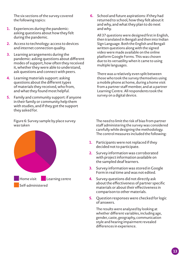The six sections of the survey covered the following topics:

- **1.** Experiences during the pandemic: asking questions about how they felt during the pandemic.
- **2.** Access to technology: access to devices and internet connection quality.
- **3.** Learning arrangements during the pandemic: asking questions about different modes of support, how often they received it, whether they were able to understand, ask questions and connect with peers.
- **4.** Learning materials support: asking questions about the different types of materials they received, who from, and what they found most helpful.
- **5.** Family and community support: if anyone in their family or community help them with studies, and if they got the support they asked for.

Figure 6: Survey sample by place survey was taken



**6.** School and future aspirations: if they had returned to school, how they felt about it and why, and what they plan to do next and why.

All 37 questions were designed first in English, then translated in Bengali and then into Indian Sign Language. Both the English and Bengali written questions along with the signed video were made available on the online platform Google Forms. This was chosen due to its versatility when it came to using multiple languages.

There was a relatively even split between those who took the survey themselves using a mobile phone at home, during a home visit from a partner staff member, and at a partner Learning Centre. All respondents took the survey on a digital device.

The need to limit the risk of bias from partner staff administering the survey was considered carefully while designing the methodology. The control measures included the following:

- **1.** Participants were not replaced if they decided not to participate.
- **2.** Survey information was corroborated with project information available on the sampled deaf learners.
- **3.** Survey information was stored in Google Form in real time and was not edited.
- **4.** Survey questions did not directly ask about the effectiveness of partner specific materials or about their effectiveness in comparison to other materials.
- **5.** Question responses were checked for logic of answers.

The results were analysed by looking at whether different variables, including age, gender, caste, geography, communication style and hearing impairment revealed differences in experience.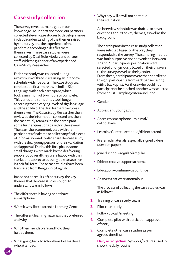# **Case study collection**

The survey revealed many gaps in our knowledge. To understand more, our partners collected eleven case studies to develop a more in-depth understanding of the themes raised by the survey and the experience of the pandemic according to deaf learners themselves. These case studies were collected by Deaf Role Models and partner staff, with the guidance of an experienced Case Study Researcher.

Each case study was collected during a maximum of three visits using an interview schedule with five parts. The case study team conducted a first interview in Indian Sign Language with each participant, which took a minimum of two hours to complete. This varied and sometimes took longer according to the varying levels of sign language and the ability of the deaf learner to express themselves. The Case Study Researcher then reviewed the information collected and then the case study team asked the participant some further questions based on the review. The team then communicated with the participant a final time to collect any final pieces of information and to also share the case study with the deaf young person for their validation and approval. During this final phase, some small changes were made by the deaf young people, but overall they were happy with their stories and appreciated being able to see them in their full form. These case studies have been translated from Bengali into English.

Based on the results of the survey, the key themes that the case studies sought to understand are as follows:

- The differences in having or not have a smartphone.
- What it was like to attend a Learning Centre.
- The different learning materials they preferred and why.
- Who their friends were and how they helped them.
- What going back to school was like for those who attended.

• Why they will or will not continue their education.

An interview schedule was drafted to cover questions about the key themes, as well as the background.

The participants in the case study collection were selected based on the way they responded to the survey. The sampling method was both purposive and convenient. Between 17 and 21 participants per location were selected anonymously based on their answers to the survey as well as their gender. From these, participants were then shortlisted to eight participants from each partner, along with a backup list. For those who could not participate or be reached, another was selected from the list. Sampling criteria included:

- Gender
- Adolescent, young adult
- $\bullet$  Access to smartphone minimal/ did not have
- Learning Centre attended/did not attend
- Preferred materials, especially signed videos, question papers
- Joined school regular/irregular
- Did not receive support at home
- Education continue/discontinue
- Answers that were anomalous.

The process of collecting the case studies was as follows:

- **1.** Training of case study team
- **2.** Pilot case study
- **3.** Follow up call/meeting
- **4.** Complete pilot with participant approval of story
- **5.** Complete other case studies as per agreed timeline.

**Daily activity chart:** Symbols/pictures used to show the daily routine.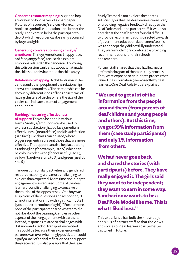**Gendered resource mapping:** A girl and boy are drawn on two halves of a chart paper. Pictures of resources/services – for example books to symbolise education – are kept at the ready. The exercise helps the participant to depict which resources can be easily accessed by boys and girls.

**Generating conversation using smileys/ emoticons:** Smileys/emoticons (happy face, sad face, angry face) are used to explore emotions related to the pandemic. Following this a discussion can be had about what made the child sad and what made the child angry.

**Relationship mapping:** A child is drawn in the centre and other people and the relationships are written around this. The relationship can be shown by different kinds of lines or in terms of having clusters of circles where the size of the circles can indicate extent of engagement and support.

#### **Ranking/measuring effectiveness**

**of support:** This can be done in various forms. Smileys/emoticons can be used to express satisfaction (happy face), medium effectiveness (neutral face) and dissatisfaction (sad face). Pie charts can be used, where bigger segments represent those that are more effective. The support can also be placed along a ranking line (for example, 0 to 5) which can be colour-coded – red (for not useful, 0 to 1), yellow (barely useful, 2 to 3) and green (useful, 4 to 5).

The questions on daily activities and gendered resource mapping were more challenging to explore than expected. More time and in-depth engagement was required. Some of the deaf learners found it challenging to conceive of the routine of the opposite sex. One boy was suspicious of the questions and responded, "I am not in a relationship with a girl. I cannot tell (you about the routine of a girl)." Furthermore, none of the participants shared what they did not like about the Learning Centres or other aspects of their engagement with partners. Instead, responses related to challenges with distance and a lack of transport were cited. This could be because their experience with partners was overwhelmingly positive, or could signify a lack of critical reflection on the support they received. It is also possible that the Case

Study Teams did not explore these areas sufficiently or that the deaf learners were wary of providing negative feedback directly to the Deaf Role Model and partner staff. It was also noted that the deaf learners found it difficult to provide recommendations directed towards a 'government education department' as this was a concept they did not fully understand. They were much more comfortable providing recommendations for their schools and teachers.

Partner staff shared that they had learned a lot from being part of the case study process. They were exposed to an in-depth process that valued the information given directly by deaf learners. One Deaf Role Model explained:

**"We used to get a lot of the information from the people around them (from parents of deaf children and young people and others). But this time, we got 99% information from them (case study participants) and only 1% information from others.**

**We had never gone back and shared the stories (with participants) before. They have really enjoyed it. The girls said they want to be independent; they want to earn in some way. Sanchari now wants to be a Deaf Role Model like me. This is what I liked best."**

This experience has built the knowledge and skills of partner staff so that the views and stories of deaf learners can be better captured in future.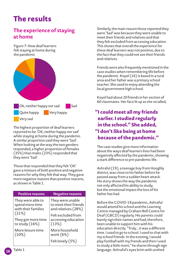# **The results**

# **The experience of staying at home**

Figure 7: How deaf learners felt staying at home during the pandemic



The highest proportion of deaf learners reported to be 'OK, neither happy nor sad' while staying at home during the pandemic. A similar proportion said they were 'Sad'. When looking at the way the two genders responded, a higher proportion of females (35%) than males (23%) responded that they were 'Sad'.

Those that responded that they felt 'OK' gave a mixture of both positive and negative reasons for why they felt that way. They gave more negative reasons than positive reasons, as shown in Table 1.

| <b>Positive reasons</b> | <b>Negative reasons</b> |
|-------------------------|-------------------------|
| They were able to       | They were unable        |
| spend more time         | to meet their friends   |
| with their families     | and relatives (28%)     |
| (21%)                   | Felt excluded from      |
| They got more time      | accessing education     |
| to study $(16%)$        | (13%)                   |
| More leisure time       | More household          |
| (10%)                   | work $(6%)$             |
|                         | Felt lonely (5%)        |

Similarly, the main reason those reported they were 'Sad' was because they were unable to meet their friends and relatives and that they felt excluded from accessing education. This shows that overall the experience for these deaf learners was not positive, due to the fact that they could not see their friends and relatives.

Friends were also frequently mentioned in the case studies when remembering life before the pandemic. Koyel (16) is based in a rural area and her father was a primary school teacher. She used to enjoy attending the local government high school.

Koyel had about 20 friends in her section of 60 classmates. Her face lit up as she recalled,

## **"I could meet all my friends earlier. I studied regularly in the school." She added, "I don't like being at home because of the pandemic."**

The case studies give more information about the ways deaf learners lives had been negatively affected by the pandemic, showing a stark difference to pre-pandemic life.

Ashraful (19), a teenage boy from Hooghly district, was close to his father before he passed away from a sudden heart attack. His story shows the way the pandemic not only affected his ability to study, but the emotional impact the loss of his father has had.

Before the COVID-19 pandemic, Ashraful would attend his school and the Learning Centre managed by Graham Bell Centre for Deaf (GBCD) regularly. His parents could barely sign their names and had, therefore, been unable to support him with his education directly. "Truly… it was a different time. I used to go to school. I used to chat with my school friends. In the evening, I would play football with my friends and then I used to study a little more," he shares through sign language. Ashraful's eyes brim with unshed

**16**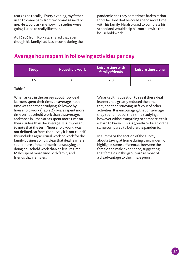tears as he recalls, "Every evening, my father used to come back from work and sit next to me. He would ask me how my studies were going. I used to really like that."

Adil (20) from Kolkata, shared that even though his family had less income during the

pandemic and they sometimes had to ration food, he liked that he could spend more time with his family. He also used to complete his school and would help his mother with the household work.

#### **Average hours spent in following activities per day**

| <b>Study</b> | <b>Household work</b> | Leisure time with<br>family/friends | Leisure time alone |
|--------------|-----------------------|-------------------------------------|--------------------|
| 3.5          |                       | 2.8                                 | 2.6                |

Table 2

When asked in the survey about how deaf learners spent their time, on average most time was spent on studying, followed by household work (Table 2). Males spent more time on household work than the average, and those in urban areas spent more time on their studies than the average. It is important to note that the term 'household work' was not defined, so from the survey it is not clear if this includes agricultural work or work for the family business or it is clear that deaf learners spent more of their time either studying or doing household work than on leisure time. Males spent more time with family and friends than females.

We asked this question to see if these deaf learners had greatly reduced the time they spent on studying, in favour of other activities. It is encouraging that on average they spent most of their time studying, however without anything to compare it to it is hard to know if this is greatly reduced or the same compared to before the pandemic.

In summary, the section of the survey about staying at home during the pandemic highlights some differences between the female and male experience, suggesting that females in this group are at more of a disadvantage to their male peers.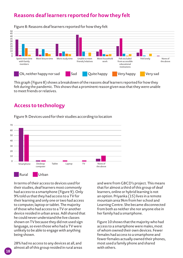# **Reasons deaf learners reported for how they felt**



Figure 8: Reasons deaf learners reported for how they felt

This graph (Figure 8) shows a breakdown of the reasons deaf learners reported for how they felt during the pandemic. This shows that a prominent reason given was that they were unable to meet friends or relatives.

#### **Access to technology**



Figure 9: Devices used for their studies according to location

In terms of their access to devices used for their studies, deaf learners most commonly had access to a smartphone (Figure 9). Only 9% told us that they had access to a TV for their learning and only one or two had access to computer, laptop or tablet. The majority of those who had access to a TV or another device resided in urban areas. Adil shared that he could never understand the live classes shown on TV because they did not used sign language, so even those who had a TV were unlikely to be able to engage with anything being shown.

28% had no access to any devices at all, and almost all of this group resided in rural areas and were from GBCD's project. This means that for almost a third of this group of deaf learners, online or hybrid learning is not an option. Priyanka (15) lives in a remote mountain area 9km from her school and Learning Centre. She became disconnected from both as neither she nor anyone else in her family had a smartphone.

Figure 10 shows that the majority who had access to a smartphone were males, most of whom owned their own devices. Fewer females had access to a smartphone and fewer females actually owned their phones, most used a family phone and shared with others.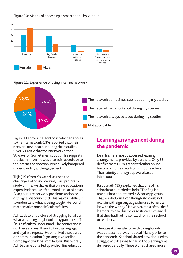

#### Figure 10: Means of accessing a smartphone by gender

Figure 11: Experience of using internet network



Figure 11 shows that for those who had access to the internet, only 13% reported that their network never cut out during their studies. Over 60% said that their network either 'Always' or 'Sometimes' cut out. This suggests that learning online was often disrupted due to the internet connection, which likely hampered understanding and engagement.

Trijit (19) from Kolkata discussed the challenges of online learning. Trijit prefers to study offline. He shares that online education is expensive because of the mobile-related costs. Also, there are network problems and so he often gets disconnected. This makes it difficult to understand what is being taught. He found mathematics most difficult to follow.

Adil adds to this picture of struggling to follow what was being taught online by partner staff. "It is difficult to understand. The connection is not there always. I have to keep asking again and again to repeat." He only liked the classes on communication (sign language) online. Some signed videos were helpful. But overall, Adil became quite fed up with online education.

## **Learning arrangement during the pandemic**

Deaf learners mostly accessed learning arrangements provided by partners. Only 33 deaf learners (19%) received either online lessons or home visits from schoolteachers. The majority of this group were based in Kolkata.

Baidyanath (19) explained that one of his schoolteachers tried to help. "The English teacher in school started a WhatsApp group. That was helpful. Even though she could not explain with sign language, she used to help a lot with the writing." However, most of the deaf learners involved in the case studies explained that they had had no contact from their school or teachers.

The case studies also provided insights into ways that school was not deaf friendly prior to the pandemic. Sanchari shared how she used to struggle with lessons because the teaching was delivered verbally. These stories shared more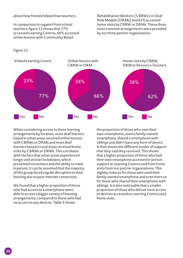about how friends helped than teachers.

In comparison to support from school teachers, figure 12 shows that 77% accessed Learning Centres, 66% accessed online lessons with Community Based

Rehabilitation Workers (CBRWs) or Deaf Role Models (DRMs) and 62% accessed home visits by CBRW or DRMs. These three most common arrangements were provided by our three partner organisations.





When considering access to these learning arrangements by location, most deaf learners based in urban areas received online lessons with CBRWs or DRMs and most deaf learners based in rural areas received home visits by CBRWs or DRMs. This correlates with the fact that urban areas experienced longer and stricter lockdowns, which prevented movement and the ability to meet in person. It can be assumed that the majority of this group faced regular disruption to their learning due to poor internet connection.

We found that a higher proportion of those who had access to a smartphone were able to access a bigger variety of learning arrangements, compared to those who had no access to any devices. Table 3 shows

the proportion of those who own their own smartphone, used a family-owned smartphone, shared a smartphone with siblings and didn't have any form of device. It then shows the different modes of support that they said they received. This shows that a higher proportion of those who had their own smartphone accessed in-person support at Learning Centres and from home visits from our partner organisations. This slightly reduces for those who used their family-owned smartphone and even more so for those who shared their smartphone with siblings. It is also noticeable that a smaller proportion of those who did not have access to devices accessed to Learning Centres and home visits.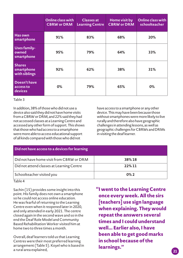|                                              | Online class with<br><b>CBRW or DRM</b> | <b>Classes</b> at<br><b>Learning Centre</b> | Home visit by<br><b>CBRW or DRM</b> | Online class with<br>schoolteacher |
|----------------------------------------------|-----------------------------------------|---------------------------------------------|-------------------------------------|------------------------------------|
| <b>Has own</b><br>smartphone                 | 91%                                     | 83%                                         | 68%                                 | 20%                                |
| <b>Uses family-</b><br>owned<br>smartphone   | 95%                                     | 79%                                         | 64%                                 | 33%                                |
| <b>Shares</b><br>smartphone<br>with siblings | 92%                                     | 62%                                         | 38%                                 | 31%                                |
| Doesn't have<br>access to<br>devices         | 0%                                      | 79%                                         | 65%                                 | $0\%$                              |

#### Table 3

In addition, 38% of those who did not use a device also said they did not have home visits from a CBRW or DRM, and 22% said they had not accessed classes at a Learning Centre and accessed any other form of support. This shows that those who had access to a smartphone were more able to access educational support of all kinds compared with those who did not

have access to a smartphone or any other device. This may have been because those without smartphones were more likely to live rurally and therefore also have geographic challenges in attending lessons, as well as geographic challenges for CBRWs and DRMs in visiting the deaf learner.

| Did not have access to a devices for learning |         |
|-----------------------------------------------|---------|
| Did not have home visit from CBRW or DRM      | 38%18   |
| Did not attend classes at Learning Centre     | 22%11   |
| Schoolteacher visited you                     | $0\%$ 2 |

Table 4

Sachin (15) provides some insight into this point. His family does not own a smartphone so he could not access online education. He was fearful of returning to the Learning Centre even when it reopened later in 2020, and only attended in early 2021. The centre closed again in the second wave and so in the end the Deaf Role Model and Community Based Rehabilitation Worker visited him at home two to three times a month.

Overall, deaf learners told us that Learning Centres were their most preferred learning arrangement (Table 5). Koyel who is based in a rural area explained,

 **"I went to the Learning Centre once every week. All the sirs [teachers] use sign language when explaining. They would repeat the answers several times and I could understand well... Earlier also, I have been able to get good marks in school because of the learnings."**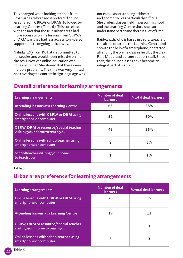This changed when looking at those from urban areas, where most preferred online lessons from CBRWs or DRMs, followed by Learning Centres (Table 6). This correlates with the fact that those in urban areas had more access to online lessons from CBRWs or DRMs, as they had less access to in-person support due to ongoing lockdowns.

Nahida (19) from Kolkata is committed to her studies and would never miss the online classes. However, online education was not easy for her. She shared that there were multiple problems. The time was very limited and covering the content in sign language was not easy. Understanding arithmetic and geometry was particularly difficult. She prefers classes held in person in school and the Learning Centre since she can understand better and there is a lot of time.

Baidyanath, who is based in a rural area, felt too afraid to attend the Learning Centre and so with the help of a smartphone, he started attending the online classes held by the Deaf Role Model and partner support staff. Since then, the online classes have become an integral part of his life.

# **Overall preference for learning arrangements**

| Learning arrangements                                                           | Number of deaf<br><b>learners</b> | % total deaf learners |
|---------------------------------------------------------------------------------|-----------------------------------|-----------------------|
| Attending lessons at a Learning Centre                                          | 65                                | 38%                   |
| Online lessons with CBRW or DRM using<br>smartphone or computer                 | 52                                | 30%                   |
| <b>CBRW, DRM or resource/special teacher</b><br>visiting your home to teach you | 45                                | 26%                   |
| Online lessons with schoolteacher using<br>smartphone or computer               | 8                                 | 5%                    |
| Schoolteacher visiting your home<br>to teach you                                |                                   | $1\%$                 |

#### Table 5

#### **Urban area preference for learning arrangements**

| Learning arrangements                                                    | Number of deaf<br><b>learners</b> | % total deaf learners |
|--------------------------------------------------------------------------|-----------------------------------|-----------------------|
| Online lessons with CBRW or DRM using<br>smartphone or computer          | 26                                | 15                    |
| Attending lessons at a Learning Centre                                   | 19                                |                       |
| CBRW, DRM or resource/special teacher<br>visiting your home to teach you |                                   |                       |
| Online lessons with schoolteacher using<br>smartphone or computer        |                                   |                       |

**22**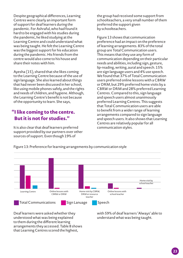Despite geographical differences, Learning Centres were clearly an important form of support for deaf learners during the pandemic. For Ashraful, who had found it hard to be engaged with his studies during the pandemic, he liked studying at the Learning Centre and could understand what was being taught. He felt the Learning Centre was the biggest support for his education during the pandemic. His friends from the centre would also come to his house and share their notes with him.

Ayesha (15), shared that she likes coming to the Learning Centre because of the use of sign language. She also learned about things that had never been discussed in her school, like using mobile phones safely, and the rights and needs of children, and hygiene. Although, the Learning Centre's benefit is not because of the opportunity to learn. She says,

#### **"I like coming to the centre. But it is not for studies."**

It is also clear that deaf learners preferred support provided by our partners over other sources of support. Even though 19% of

the group had received some support from schoolteachers, a very small number of them preferred the support given by schoolteachers.

Figure 13 shows that communication preference had an impact on the preference of learning arrangements. 83% of the total group are Total Communication users. This means that they use any form of communication depending on their particular needs and abilities, including sign, gesture, lip-reading, writing, aural and speech. 15% are sign language users and 4% use speech. We found that 37% of Total Communication users preferred online lessons with a CBRW or DRM, but 29% preferred home visits by a CBRW or DRM and 28% preferred Learning Centres. Compared to this, sign language and speech users almost unanimously preferred Learning Centres. This suggests that Total Communication users are able to benefit from a wider range of learning arrangements compared to sign language and speech users. It also shows that Learning Centres are relatively popular for all communication styles.

Figure 13: Preference for learning arrangements by communication style



Deaf learners were asked whether they understood what was being explained to them during the different learning arrangements they accessed. Table 8 shows that Learning Centres scored the highest,

with 59% of deaf learners 'Always' able to understand what was being taught.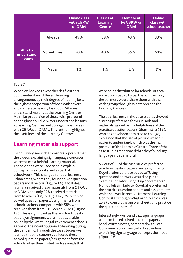|                                  |                  | <b>Online class</b><br>with CBRW<br>or DRM | <b>Classes at</b><br><b>Learning</b><br><b>Centre</b> | <b>Home visit</b><br>by CBRW or<br><b>DRM</b> | <b>Online</b><br>class with<br>schoolteacher |
|----------------------------------|------------------|--------------------------------------------|-------------------------------------------------------|-----------------------------------------------|----------------------------------------------|
|                                  | <b>Always</b>    | 49%                                        | 59%                                                   | 43%                                           | 33%                                          |
| Able to<br>understand<br>lessons | <b>Sometimes</b> | 50%                                        | 40%                                                   | 55%                                           | 60%                                          |
|                                  | <b>Never</b>     | 1%                                         | 1%                                                    | 2%                                            | 7%                                           |

#### Table 7

When we looked at whether deaf learners could understand different learning arrangements by their degree of hearing loss, the highest proportion of those with severe and moderate hearing loss could 'Always' understand lessons at the Learning Centres. A similar proportion of those with profound hearing loss could 'Always' understand lessons at Learning Centres and during online classes with CBRWs or DRMs. This further highlights the usefulness of the Learning Centres.

#### **Learning materials support**

In the survey, most deaf learners reported that the videos explaining sign language concepts were the most helpful learning material. These videos were used to help explain concepts in textbooks and as part of schoolwork. This changed for deaf learners in urban areas, where they found solved question papers most helpful (Figure 14). Most deaf learners received these materials from CBRWs or DRMs, and only 22% received materials from teachers (Figure 15). Only 2% received solved question papers/assignments from schoolteachers, compared with 58% who received them from CBRWs or DRMs (Figure 17). This is significant as these solved question papers/assignments were made available online by the West Bengal government schools as one of their contributions to learning during the pandemic. Through the case studies we learned that the students collected these solved question papers/assignment from the schools when they visited for free meals that

were being distributed by schools, or they were downloaded by partners. Either way the partners would share them with the wider group through WhatsApp and the Learning Centres.

The deaf learners in the case studies showed a strong preference for visual aids and materials, as well as the helpfulness of the practice question papers. Sharmistha (19), who has now been admitted to college, explained that the use of pictures made it easier to understand, which was the main positive of the Learning Centre. Three of the case studies mentioned that they found sign language videos helpful.

Six out of 11 of the case studies preferred practice question papers and assignments. Koyel preferred these because "Using question and answers would help in the examination later... in getting good marks." Nahida felt similarly to Koyel. She preferred the practice question papers and assignments, which she would receive from the Learning Centre staff though WhatsApp. Nahida was able to consult the answer sheets and practice the questions herself.

Interestingly, we found that sign language users preferred solved question papers and hand-written notes, compared with Total Communication users, who liked videos explaining sign language concepts the most (Figure 18).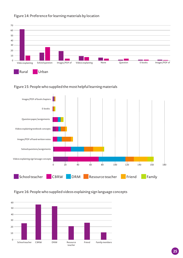

#### Figure 14: Preference for learning materials by location

#### Figure 15: People who supplied the most helpful learning materials



#### Figure 16: People who supplied videos explaining sign language concepts

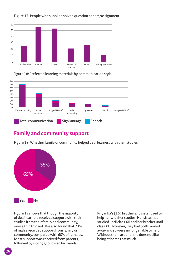

#### Figure 17: People who supplied solved question papers/assignment

Figure 18: Preferred learning materials by communication style



#### **Family and community support**

Figure 19: Whether family or community helped deaf learners with their studies



Figure 19 shows that though the majority of deaf learners received support with their studies from their family and community, over a third did not. We also found that 73% of males received support from family or community, compared with 60% of females. Most support was received from parents, followed by siblings, followed by friends.

Priyanka's (16) brother and sister used to help her with her studies. Her sister had studied until class XII and her brother until class XI. However, they had both moved away and so were no longer able to help. Without them around, she does not like being at home that much.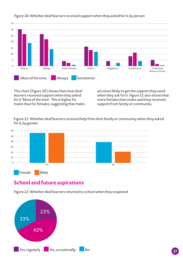

#### Figure 20: Whether deaf learners received support when they asked for it, by person

This chart (Figure 20) shows that most deaf learners received support when they asked for it 'Most of the time'. This is higher for males than for females, suggesting that males are more likely to get the support they need when they ask for it. Figure 21 also shows that more females than males said they received support from family or community.

Figure 21: Whether deaf learners received help from their family or community when they asked for it, by gender



#### **School and future aspirations**

Figure 22: Whether deaf learners returned to school when they reopened

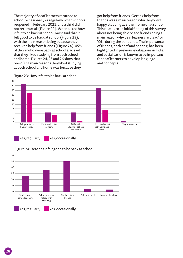The majority of deaf learners returned to school occasionally or regularly when schools reopened in February 2021, and a third did not return at all (Figure 22). When asked how it felt to be back at school, most said that it felt good to be back at school (Figure 23), with the main reason being because they received help from friends (Figure 24). 45% of those who were back at school also said that they liked studying from both school and home. Figures 24, 25 and 26 show that one of the main reasons they liked studying at both school and home was because they

got help from friends. Getting help from friends was a main reason why they were happy studying at either home or at school. This relates to an initial finding of this survey about not being able to see friends being a main reason why deaf learners felt 'Sad' or 'OK' during the pandemic. The importance of friends, both deaf and hearing, has been highlighted in previous evaluations in India, and socialisation is known to be important for deaf learners to develop language and concepts.



Figure 23: How it felt to be back at school



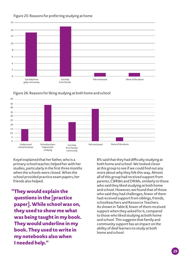

#### Figure 25: Reasons for preferring studying at home



Figure 26: Reasons for liking studying at both home and school

Koyel explained that her father, who is a primary school teacher, helped her with her studies, particularly in the first three months when the schools were closed. When the school provided practice exam papers, her friends also helped.

**"They would explain the questions in the [practice paper]. While school was on, they used to show me what was being taught in my book. They would underline in my book. They used to write in my notebooks also when I needed help."** 

8% said that they had difficulty studying at both home and school. We looked closer at this group to see if we could find out any more about why they felt this way. Almost all of this group had received support from parents, CBRWs and DRMs, similarly to those who said they liked studying at both home and school. However, we found that of those who said they had challenges, fewer of them had received support from siblings, friends, schoolteachers and Resource Teachers. As shown in Table 8, fewer of them received support when they asked for it, compared to those who liked studying at both home and school. This suggests that family and community support has an impact on the ability of deaf learners to study at both home and school.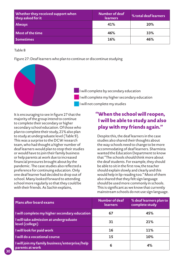| Whether they received support when<br>they asked for it | <b>Number of deaf</b><br><b>learners</b> | % total deaf learners |
|---------------------------------------------------------|------------------------------------------|-----------------------|
| <b>Always</b>                                           | 41%                                      | 20%                   |
| Most of the time                                        | 46%                                      | 33%                   |
| <b>Sometimes</b>                                        | 16%                                      | 46%                   |

Table 8

Figure 27: Deaf learners who plan to continue or discontinue studying



It is encouraging to see in figure 27 that the majority of the group intend to continue to complete their secondary or higher secondary school education. Of those who plan to complete their study, 21% also plan to study at undergraduate level (Table 9). This was a surprise to the DCW research team, who had thought a higher number of deaf learners would plan to stop their studies or would have to join their family business or help parents at work due to increased financial pressures brought about by the pandemic. The case studies also reflected a preference for continuing education. Only one deaf learner had decided to drop out of school. Many looked forward to attending school more regularly so that they could be with their friends. As Sachin explains,

## **"When the school will reopen, I will be able to study and also play with my friends again."**

Despite this, the deaf learners in the case studies also shared their thoughts about the way schools need to change to be more accommodating of deaf learners. Sharmista wanted the Education Department to know that "The schools should think more about the deaf students. For example, they should be able to sit in the first row, the teacher should explain slowly and clearly and this would help in lip-reading too." Most of them also shared that they felt sign language should be used more commonly in schools. This is significant as we know that currently mainstream schools do not use sign language.

| <b>Plans after board exams</b>                                    | Number of deaf<br><b>learners</b> | % deaf learners plan to<br>complete study |
|-------------------------------------------------------------------|-----------------------------------|-------------------------------------------|
| I will complete my higher secondary education                     | 67                                | 45%                                       |
| I will take admission at undergraduate<br>level (college)         | 31                                | 21%                                       |
| I will look for paid work                                         | 16                                | 11%                                       |
| I will do a vocational course                                     | 15                                | 10%                                       |
| I will join my family business/enterprise/help<br>parents at work | 6                                 | 4%                                        |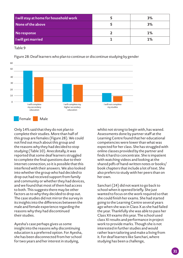| I will stay at home for household work | 3% |
|----------------------------------------|----|
| None of the above                      | 3% |
| No response                            | 1% |
| I will get married                     | 1% |

Table 9



Figure 28: Deaf learners who plan to continue or discontinue studying by gender

Only 14% said that they do not plan to complete their studies. More than half of this group are females (Figure 28). We could not find out much about this group and the reasons why they had decided to stop studying (Table 10). Anecdotally, it was reported that some deaf learners struggled to complete the final questions due to their internet connection, so it is possible that this interfered with their answers. We also looked into whether the group who had decided to drop out had received support from family and community or whether they had devices, and we found that most of them had access to both. This suggests there may be other factors as to why they decided to drop out. The case studies did not mirror the survey in its insights into the differences between the male and female experience regarding the reasons why they had discontinued their studies.

Ayesha's case perhaps gives us some insight into the reasons why discontinuing education is a preferred option. For Ayesha, she has been disconnected from her school for two years and her interest in studying,

whilst not strong to begin with, has waned. Assessments done by partner staff at the Learning Centre found that her educational competencies were lower than what was expected for her class. She has struggled with online classes provided by the partner and finds it hard to concentrate. She is impatient with watching videos and looking at the shared pdfs of hand-written notes or books/ book chapters that include a lot of text. She also prefers to study with her peers than on her own.

Sanchari (24) did not want to go back to school when it opened briefly. She just wanted to focus on the work required so that she could finish her exams. She had started going to the Learning Centre several years ago when she was in Class X as she had failed the year. Thankfully she was able to pass her Class XII exams this year. The school used class XI results and performance in project work to provide marks. Though she is not interested in further studies and would rather learn tailoring and make a living from it. For deaf learners like Sanchari, where studying has been a challenge,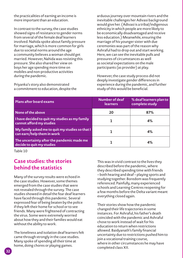the practicalities of earning an income is more important than an education.

In contrast to the survey, the case studies showed signs of resistance to gender norms from several of the female deaf learners involved. Nahida spoke about family pressure for marriage, which is more common for girls due to societal norms around the age a community believes a woman should get married. However, Nahida was resisting this pressure. She also shared her view on boys her age spending more time on mobiles and non-productive activities during the pandemic.

Priyanka's story also demonstrated a commitment to education, despite the arduous journey over mountain rivers and the inevitable challenges her Adivasi background would give her. (Adivasi is a tribal/indigenous ethnicity in which people are more likely to be economically disadvantaged and receive less education.) Meanwhile, ensuring the marriage of his younger sister with due ceremonies was part of the reason why Ashraful had to drop out and start working. Here, we can see the inevitable pulls and pressures of circumstances as well as societal expectations on the male participants (as provider) at play.

However, the case study process did not deeply investigate gender differences in experience during the pandemic, and further study of this would be beneficial.

| Plans after board exams                                                       | Number of deaf<br><b>learners</b> | % deaf learners plan to<br>complete study |
|-------------------------------------------------------------------------------|-----------------------------------|-------------------------------------------|
| None of the above                                                             | 20                                | 87%                                       |
| I have decided to quit my studies as my family<br>cannot afford my studies    |                                   | 4%                                        |
| My family asked me to quit my studies so that I<br>can earn/help them in work |                                   | 4%                                        |
| The uncertainty after the pandemic made me<br>decide to quit my studies       |                                   | 4%                                        |

Table 10

#### **Case studies: the stories behind the statistics**

Many of the survey results were echoed in the case studies. However, some themes emerged from the case studies that were not revealed through the survey. The case studies showed in detail the fear deaf learners have faced through this pandemic. Several expressed fear of being beaten by the police if they left their home for school or to see friends. Many were frightened of contracting the virus. Some were extremely worried about how they and their families would eat without the ability to work.

The loneliness and isolation deaf learners felt came through strongly in the case studies. Many spoke of spending all their time at home, doing chores or playing games.

This was in vivid contrast to the lives they described before the pandemic, where they described spending time with friends – both hearing and deaf – playing sports and studying together. Boredom was frequently referenced. Painfully, many experienced schools and Learning Centres reopening for a few months before the Delta variant meant everything closed again.

Their stories show how the pandemic changed their life trajectories in some instances. For Ashraful, his father's death coincided with the pandemic and Ashraful chose to work instead of wait for his education to return when restrictions allowed. Baidyanath's family financial uncertainty due to restrictions pushed him to join a vocational training course, where in other circumstances he may have completed class XII.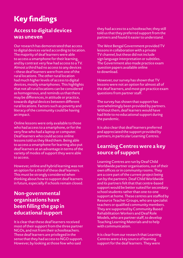# **Key findings**

## **Access to digital devices was uneven**

Our research has demonstrated that access to digital devices varied according to location. The majority of deaf learners were able to access a smartphone for their learning, and by contrast very few had access to a TV. Almost a third had no access to any devices – these deaf learners were from one of the rural locations. The other rural location had much higher levels of access to digital devices, mostly smartphones. This highlights that not all rural locations can be considered as homogenous, and reminds us that there may be differences, in attitude or practice, towards digital devices between different rural locations. Factors such as poverty and literacy of the community could be having an impact.

Online lessons were only available to those who had access to a smartphone, or for the very few who had a laptop or computer. Deaf learners who could access online lessons told us they liked them. Being able to access a smartphone for learning also put deaf learners at an advantage in terms of the variety of modes of support they were able to access.

However, online and hybrid learning was not an option for a third of these deaf learners. This must be strongly considered when thinking about how to support deaf learners in future, especially if schools remain closed.

#### **Non-governmental organisations have been filling the gap in educational support**

It is clear that these deaf learners received most of their support from the three partner NGOs, and not from their schoolteachers. These deaf learners are privileged in the sense that they had access to NGO support. However, by looking at those few who said

they had access to a schoolteacher, they still told us that they preferred support from the partners and found it easier to understand.

The West Bengal Government provided TV lessons in collaboration with a private TV channel, but these did not include sign language interpretation or subtitles. The Government also made practice exam question papers available online to download.

However, our survey has shown that TV lessons were not an option for almost all of the deaf learners, and most got practice exam questions from partner staff.

The survey has shown that support has overwhelmingly been provided by partners. Without them, deaf learners would have had little to no educational support during the pandemic.

It is also clear that deaf learners preferred and appreciated the support provided by partners, in particular Learning Centres.

# **Learning Centres were a key source of support**

Learning Centres are run by Deaf Child Worldwide partner organisations, out of their own offices or in community rooms. They are a core part of the current project being run by the partners. Deaf Child Worldwide and its partners felt that that centre-based support would be better suited for secondary school students rather than one-to-one support at home. These centres are staffed by Resource Teacher Groups, who are specialist teachers or qualified community members. They are supported by Community Based Rehabilitation Workers and Deaf Role Models, who are partner staff, to develop Teaching Learning Materials and to help with communication.

It is clear from our research that Learning Centres were a key source of learning support for the deaf learners. They were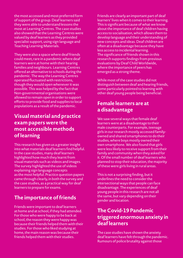the most accessed and most preferred form of support of the group. Deaf learners said they were able to understand lessons the most at Learning Centres. The case studies also showed that the Learning Centres were valued by deaf learners as they provided specialist support, using sign language and Teaching Learning Materials.

They were also a space where deaf friends could meet, rare in a pandemic where deaf learners were at home with their hearing families and neighbours. Learning Centres offered an alternative to schools during the pandemic. The way the Learning Centres operated fluctuated with restrictions, though they would open whenever it was possible. This was helped by the fact that Non-governmental organisations were allowed to remain open in order to support efforts to provide food and supplies to local populations as a result of the pandemic.

#### **Visual material and practice exam papers were the most accessible methods of learning**

This research has given us a greater insight into what materials deaf learners find helpful. In the case studies, many deaf learners highlighted how much they learnt from visual materials such as videos and images. The survey highlighted the use of videos explaining sign language concepts as the most helpful. Practice question papers came through clearly, in both the survey and the case studies, as a practical way for deaf learners to prepare for exams.

# **The importance of friends**

Friends were important to deaf learners at home and at school, if they had attended. For those who were happy to be back at school, the reason they were happy was because their friends helped them with their studies. For those who liked studying at home, the main reason was because their friends helped them with their studies.

Friends are clearly an important part of deaf learners' lives when it comes to their learning. This is significant because of what we know about the importance of deaf children having access to socialisation, which allows them to develop language and their understanding of new concepts and ideas. Deaf children are often at a disadvantage because they have less access to incidental learning. The significance of friends shown in this research supports findings from previous evaluations by Deaf Child Worldwide, where the importance of peers has emerged as a strong theme.

While most of the case studies did not distinguish between deaf and hearing friends, some particularly pointed to learning with other deaf young people being beneficial.

## **Female learners are at a disadvantage**

We saw several ways that female deaf learners were at a disadvantage to their male counterparts. For example, teenage girls in our research mostly accessed familyowned and shared smartphones to do their studies, where boys mostly owned their own smartphone. We also found that girls were less likely to receive support from their family and community when they asked for it. Of the small number of deaf learners who planned to stop their education, the majority of these were girls living in rural areas.

This is not a surprising finding, but it underlines the need to consider the intersectional ways that people can face disadvantage. The experiences of deaf young people in this research are not all the same, but vary depending on their gender and location.

## **The Covid-19 Pandemic triggered enormous anxiety in deaf learners**

The case studies have shown the anxiety deaf learners have felt through the pandemic. Rumours of police brutality against those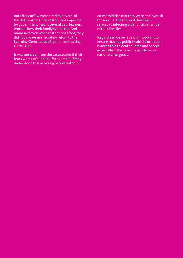out after curfew were cited by several of the deaf learners. The restrictions imposed by government meant several deaf learners worried how their family would eat. And many said even when restrictions lifted, they did not always immediately return to the Learning Centres out of fear of contracting COVID-19.

It was not clear from the case studies if their fears were unfounded – for example, if they understood that as young people without

co-morbidities that they were at a low risk for serious ill health, or if their fears related to infecting older or sick member of their families.

Regardless we believe it is important to ensure that key public health information is accessible to deaf children and people, especially in the case of a pandemic or national emergency.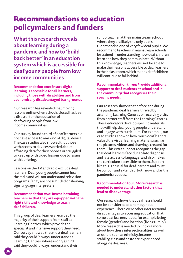# **Recommendations to education policymakers and funders**

**What this research reveals about learning during a pandemic and how to 'build back better' in an education system which is accessible for deaf young people from low income communities**

**Recommendation one: Ensure digital learning is accessible for all learners, including those with disabilities and from economically disadvantaged backgrounds**

Our research has revealed that moving lessons online when schools closed has been a disaster for the education of deaf young people from low income communities.

Our survey found a third of deaf learners did not have access to any kind of digital device. The case studies also showed that those with access to devices worried about affording data for their phones or struggled to keep up with video lessons due to issues with buffering.

Lessons on the TV and radio exclude deaf learners. Deaf young people cannot hear the radio and will not understand television programs if they are not subtitled or showing sign language interpreters.

#### **Recommendation two: Invest in training teachers so that they are equipped with the right skills and knowledge to teach deaf children.**

This group of deaf learners received the majority of their support from staff at Learning Centres, which provide the specialist and intensive support they need. Our survey showed that most deaf learners said they could 'always' understand at Learning Centres, whereas only a third said they could 'always' understand their

schoolteacher at their mainstream school, where they are likely the only deaf s tudent or else one of very few deaf pupils. We recommend teachers in mainstream schools be trained in understanding how deaf children learn and how they communicate. Without this knowledge, teachers will not be able to make their lessons accessible to deaf learners in their classroom, which means deaf children will continue to fall behind.

#### **Recommendation three: Provide additional support to deaf students at school and in the community that recognises their specific needs.**

Our research shows that before and during the pandemic deaf learners thrived by attending Learning Centres or receiving visits from partner staff from the Learning Centres. These educators develop specific materials that will help deaf young people understand and engage with curriculum. For example, our case studies showed how much deaf leaners valued the visual learning materials, such as the pictures, videos and drawings created for them. This extra support recognises the gap that deaf learners face due to late diagnosis and late access to language, and also makes the curriculum accessible to them. Support like this is crucial for deaf learners and must be built on and extended, both now and as the pandemic recedes.

#### **Recommendation four: More research is needed to understand other factors that lead to disadvantage**

Our research shows that deafness should not be considered as a homogenous experience. There were other intersectional disadvantages to accessing education that some deaf learners faced, for example being female (gender) and location (living rurally). More research is needed to find out more about how these intersectionalities, as well as others such as ethnicity, income stability, class and caste are experienced alongside deafness.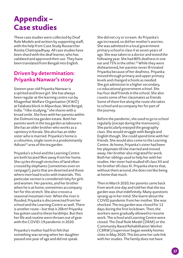# **Appendix – Case studies**

These case studies were collected by Deaf Role Models and written by supporting staff, with the help from Case Study Researcher Ronita Chattopadhyay. All case studies have been shard with the deaf learner, who has validated and approved their use. They have been translated from Bengali into English.

# **Driven by determination: Priyanka Nanwar's story**

Sixteen-year-old Priyanka Nanwar is a spirited and brave girl. She has always been regular at the learning centre run by Khagenhat Welfare Organisation (KWO) at Falakata block in Alipurduar, West Bengal, India. "I like studying," she shares with a broad smile. She lives with her parents within the Dolmoni tea garden estate. Both her parents work in the tea garden as labourers. She has an older brother who works as a rajmistry in Kerala. She also has an older sister who is married. Priyanka's home is a colourless, single room in a predominantly Adivasi<sup>21</sup> area of the tea garden.

Priyanka's school and the Learning Centre are both located 9km away from her home. She cycles through stretches of land often crossed by elephants (sometimes even on rampage!), parts that are deserted and those where men load trucks with materials. This particular section is considered risky for girls and women. Her parents, and her brother when he is at home, sometimes accompany her for this stretch. She also crosses a seasonal mountain river. When the river is flooded, Priyanka is disconnected from her school and the Learning Centre as well. There is another route – but that is 20km! Priyanka has gotten used to these hardships. But then her life and routine were thrown out of gear with the COVID-19 pandemic in 2020.

Priyanka's mother had first felt that something was wrong when her daughter passed one year of age and did not speak.

She did not cry or scream. As Priyanka's age increased, so did her mother's worries. She was admitted in a local government primary school in class II at seven years of age. She was taken to a doctor and tested the following year. She had 80% deafness in one ear and 75% in the other.<sup>22</sup> While they were disheartened, her parents never ill-treated Priyanka because of her deafness. Priyanka moved through primary and upper primary levels and changed schools as needed. She got admission in a higher secondary, co-educational government school. She has four deaf friends in the school. She also counts some of her classmates as friends. Some of them live along the route she takes to school and accompany her for part of the journey.

Before the pandemic, she used to go to school regularly (except during the monsoons). She particularly enjoyed the geography class. She would struggle with Bangla and English though. She could spend time with her friends. She would also come to the Learning Centre. At home, Priyanka's sister had been her playmate till she married and moved away. Her brother also migrated for work. Both her siblings used to help her with her studies. Her sister had studied till class XII and her brother till class XI. Priyanka shares that, without them around, she does not like being at home that much.

Then in March 2020, her parents came back from work one day and told her that the tea garden was shut indefinitely. Many questions sprang up in her mind. She learnt about the COVID pandemic from her mother. She was shocked. The tea garden was closed for 12 days during the first lockdown. Then, the workers were gradually allowed to resume work. The school and Learning Centre were closed. The Deaf Role Model (DRM) or the Community Based Rehabilitation Worker (CBRW)/supervisor began weekly homes visits in May 2020. This became her sole link with her studies. The family does not have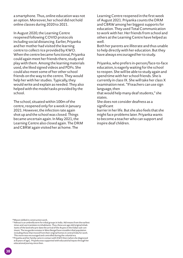a smartphone. Thus, online education was not an option. Moreover, her school did not hold online classes during 2020 to 2021.

In August 2020, the Learning Centre reopened following COVID protocols including social distancing. Earlier, Priyanka and her mother had visited the learning centre to collect rice provided by KWO. When the centre became functional, Priyanka could again meet her friends there, study and play with them. Among the learning materials used, she liked signed videos and PDFs. She could also meet some of her other school friends on the way to the centre. They would help her with her studies. Typically, they would write and explain as needed. They also helped with the model tasks provided by the school.

The school, situated within 100m of the centre, reopened only for a week in January 2021. However, the infection rate again shot up and the school was closed. Things became uncertain again. In May 2021, the Learning Centre also closed again. The DRM and CBRW again visited her at home. The

Learning Centre reopened in the first week of August 2021. Priyanka counts the DRM and CBRW among her biggest supports for education. They used Total Communication to work with her. Her friends from school and others at the Learning Centre have helped as well.

Both her parents are illiterate and thus unable to help directly with her education. But they have always encouraged her to study.

Priyanka, who prefers in-person/face-to-face education, is eagerly waiting for the school to reopen. She will be able to study again and spend time with her school friends. She is currently in class IX. She will take her class X examination next. "If teachers can use sign language, then

that would help many deaf students," she states.

She does not consider deafness as a significant

barrier in her life. But she also feels that she might face problems later. Priyanka wants to become a teacher who can support and inspire deaf children.

20Mason skilled in construction work.

<sup>&</sup>lt;sup>21</sup> Adivasi is an umbrella term for tribal groups in India. Adi means from the earliest times and vasi translates to inhabitants. Thus, these are age old/original inhabitants of the land who pre-date the arrival of the Aryans in the Indian sub-continent. The tea garden estates in West Bengal have sizeable tribal population including those that moved from their original homes in central India for work. This move was encouraged and controlled during the colonial era.

<sup>&</sup>lt;sup>22</sup>Priyanka and her family came in contact with KWO then (when she diagnosed at 8 years of age). Priyanka was supported with educational inputs through her educational journey since then.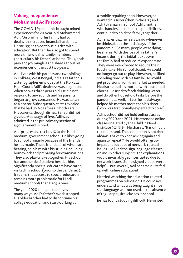#### **Valuing independence: Mohammed Adil's story**

The COVID-19 pandemic brought mixed experiences for 20-year-old Mohammed Adil. On one hand, his family had to deal with increased financial hardships. He struggled to continue his ties with education. But then, he also got to spend more time with his family members (particularly his father) at home. Thus, both pain and joy mingle as he shares about his experiences of the past two years.

Adil lives with his parents and two siblings in Kolkata, West Bengal, India. His father is a stenographer employed at the Kolkata High Court. Adil's deafness was diagnosed when he was three years old. He did not respond to any sounds and his parents began to grow concerned. He was taken to a doctor. Subsequently, tests revealed that he had 85% deafness in both ears. His parents, though disheartened, did not give up. At the age of five, Adil was admitted in the pre-primary section of a government school.

Adil progressed to class IX at the Hindi medium, government school. He likes going to school primarily because of the friends he has made. These friends, all of whom are hearing, help him with his studies including homework and preparing for examinations. They also play cricket together. His school has another deaf student besides him. Significantly, special educators have rarely visited his school (prior to the pandemic). It seems that access to special educators remains more problematic for Hindi medium schools than Bangla ones.

The year 2020 changed their lives in many ways. Adil's father's work stopped. His older brother had to discontinue his college education and start working at

a mobile repairing shop. However, he wanted his sister (then in class X) and Adil to remain in school. Adil's mother who handles household responsibilities, continued to hold the family together.

Adil shares that he feels afraid whenever he thinks about the initial days of the pandemic. "So many people were dying," he shares. With the loss of his father's income during the initial lockdowns, the family had to reduce its expenditure. They were even forced to reduce their food intake. His school closed. He could no longer go out to play. However, he liked spending time with his family. He would get provisions from the market as needed. He also helped his mother with household chores. He used to fetch drinking water and do other household tasks before the pandemic as well. In fact, he had always helped his mother more than his sister (who was traditionally expected to do so).

Adil's school did not hold online classes during 2020 and 2021. He attended online classes initiated by the Child in Need Institute (CINI)23. He shares, "It is difficult to understand. The connection is not there always. I have to keep asking again and again to repeat." He would often grow impatient because of network-related issues. He liked the sign language classes online. In other subjects, the explanations would invariably get interrupted due to network issues. Some signed videos were helpful. But, overall, Adil became quite fed up with online education!

He tried watching the education-related programmes on television. He could not understand what was being taught since sign language was not used. In the absence of regular physical classes in school,

he has found studying difficult. He visited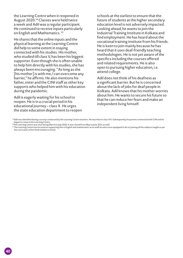the Learning Centre when it reopened in August 2020.24 Classes were held twice a week and Adil was a regular participant. He continued to receive inputs particularly on English and Mathematics.<sup>25</sup>

He shares that the online inputs and the physical learning at the Learning Centre did help to some extent in staying connected with his studies. His mother, who studied till class V, has been his biggest supporter. Even though she is often unable to help him directly with his studies, she has always been encouraging. "As long as she [his mother] is with me, I can overcome any barrier," he affirms. He also mentions his father, sister and the CINI staff as other key supports who helped him with his education during the pandemic.

Adil is eagerly waiting for his school to reopen. He is in a crucial period in his educational journey – class X. He urges the state education department to reopen schools at the earliest to ensure that the future of students at the higher secondary education level is not adversely impacted. Looking ahead, he wants to join the Industrial Training Institute in Kolkata and find employment. He has heard about the vocational training institute from his friends. He is keen to join mainly because he has heard that it uses deaf-friendly teaching methodologies. He is not yet aware of the specifics including the courses offered and related requirements. He is also open to pursuing higher education, i.e. attend college.

Adil does not think of his deafness as a significant barrier. But he is concerned about the lack of jobs for deaf people in Kolkata. Adil knows that his mother worries about him. He wants to secure his future so that he can reduce her fears and make an independent living himself.

<sup>&</sup>lt;sup>23</sup>Adil was identified during a survey conducted by the Learning Centre teachers. He was then in class VIII. Subsequently, his parents connected with CINI and he<br>began to come to the Learning Centre.

<sup>&</sup>lt;sup>24</sup>The Learning Centre was shut during March to July 2020. It was closed from May to June 2021 as well.

<sup>&</sup>lt;sup>25</sup> The Learning Centre has focused on supporting him in English and mathematics as its staff are also more equipped to do so (among all the subjects taught as per the curriculum of the Hindi medium school).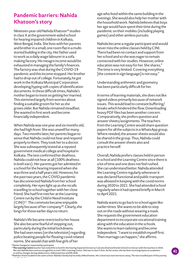## **Pandemic barriers: Nahida Khatoon's story**

Nineteen-year-old Nahida Khatoon<sup>26</sup> studies in class X at the government-aided school for hearing impaired children in Kolkata, West Bengal, India. She lives with her parents and brother in a small, one room flat in a multistoried building in the city. Her father used to work as a daily wage labourer in a sofa making factory. His meagre income would be exhausted in managing the family's finances. The factory was shut during the COVID-19 pandemic and this income stopped. Her brother had to drop out of college. Fortunately, he got work in the Kolkata Municipal Corporation developing/typing soft copies of identification documents. In these difficult times, Nahida's mother began to insist on getting her married. This stemmed largely from worries about finding a suitable groom for her as she grows older. But Nahida remained steadfast. She wanted to first work and become financially independent.

When Nahida was one year and six months old, she had high fever. She was unwell for many days. Two months later, her parents began to sense that Nahida could not hear and respond properly to them. They took her to a doctor. She was subsequently tested at a reputed government medical college and hospital in Kolkata. The test confirmed her deafness. Nahida could not hear at all (100% deafness in both ears). Her parents got her admitted in a school for the hearing impaired when she was three and a half years old. However, for the past two years, the COVID pandemic has disconnected Nahida from her school completely. Her eyes light up as she recalls travelling to school together with her close friend. She had first met her at the Learning Centre run by the Child in Need Institute (CINI)27. The commute became enjoyable largely because of her company<sup>28</sup>. Clearly, she longs for those earlier days to return.

Nahida's life became restricted to her house. She also became fearful of stepping out, particularly during the initial lockdowns. She had seen news (on the television) regarding police beating people for flouting covid-related norms. She would chat with few girls of her

age who lived within the same building in the evenings. She would also help her mother with the household work. Nahida believes that boys her age would have spent their time during the pandemic on their mobiles (including playing games) and other aimless pursuits.

Nahida became a regular participant and would never miss the online classes held by CINI. There had been no contact and support from her school and so she was eager to remain connected with her studies. However, online education was not easy for her. She shares," The time is very limited. Covering everything [the content in sign language] is not easy."

Understanding arithmetic and geometry has been particularly difficult for her.

In terms of learning materials, she does not like signed videos primarily because of network issues. This would lead to constant buffering/ breaks which hindered the flow. Downloading heavy PDF files has been another concern. Comparatively, she prefers question and answer sheets/assignments. The teachers from the Learning Centre would share question papers for all the subjects in a WhatsApp group. Where needed, the answer sheets would also be shared in the group. Thus, Nahida could consult the answer sheets also and practice herself.

Overall, Nahida prefers classes held in person in school and the Learning Centre since there is a lot of time and one does not feel rushed. She can understand better. Nahida attended the Learning Centre regularly whenever it was declared functional and public transport was allowed in keeping with the covid norms during 2020 to 2021. She had attended school regularly when it had opened briefly in March to April 2021.

Nahida wants to go back to school again like earlier times. She wants to be able to step out on the roads without wearing a mask. She requests the government education department to incorporate vocational training along with the education in the schools. She wants to learn tailoring and become independent. "I want to establish myself first. Then marriage can happen," she affirms.

<sup>26</sup>Name changed as requested by participant.

<sup>27</sup>**The Learning Centre** teacher had visited the school for the hearing impaired (known as Calcutta Deaf and Dumb School) to interact with the teachers in 2016. She met Nahida there and encouraged her to visit CINI's Learning Centre. She was in class V then. At the centre, she has been receiving inputs on academics as well as changes during adolescence, child protection and life skills.

<sup>28</sup>Nahida's friend studied in the same school. Nahida's family had recently shifted homes. Her school was now two hours away. The two travelled part of this journey together by bus.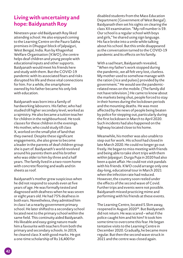## **Living with uncertainty and hope: Baidyanath Roy**

Nineteen-year-old Baidyanath Roy liked attending school. He also enjoyed coming to the Learning Centre on the Pauro Sabha premises in Dhupguri block of Jalpaiguri, West Bengal, India. Run by Khagenhat Welfare Organisation (KWO), the centre helps deaf children and young people with educational inputs and other supports. Baidyanath would meet his friends here and study with them. But the COVID-19 pandemic with its associated fears and risks disrupted his life and these vital connections for him. For a while, the smartphone owned by his father became his only link with education.

Baidyanath was born into a family of hardworking labourers. His father, who had studied till higher secondary level, worked as a rajmistry. He also became a tuition teacher for children in the neighbourhood. He took classes for these children in the evenings. His mother, who could study till class X, worked on the small plot of land that they owned. Despite these significant engagements, she also grew to become a leader in the parents of deaf children group she is part of. Baidyanath's world revolved around his parents them and his brother who was older to him by three and a half years. The family lived in a two-room home with concrete flooring and walls and tin sheets as roof.

Baidyanath's mother grew suspicious when he did not respond to sounds even at five years of age. He was formally tested and diagnosed with deafness when he was seven or eight years old. He had 75% deafness in both ears. Nonetheless, they admitted him in class I at a nearby government primary school. He later shifted to a secondary school located next to the primary school within the same field. This continuity aided Baidyanath. His likeable and easy-going nature made him a favourite with teachers from both the primary and secondary schools. In 2019, he cleared class X with good marks. He got a one-time scholarship of Rs 16,400 for

disabled students from the Mass Education Department (Government of West Bengal). Baidyanath then set his sights on clearing the class XII examination. "My roll number is 59. Our school is a regular school with boys and girls," he shared using sign language. His face broke into a smile while talking about his school. But this smile disappeared as the conversation turned to the COVID-19 pandemic and its effects on his family.

With a sad heart, Baidyanath revealed, "When my father's work stopped during the pandemic, we all felt very lost, clueless. My mother used to somehow manage with the ration (rice and pulses) provided by the government." He would see the pandemicrelated news on the mobile. (The family did not have television.) He came to know about the markets being shut, people forced to stay in their homes during the lockdown periods and the mounting deaths. He was most affected by the news of people being beaten by police for stepping out, particularly during the first lockdown in March to April 2020. Such incidents had also happened on the highway located close to his home.

Meanwhile, his mother was also unable to step out for work. His school had closed in late March 2020. He could no longer go out freely. He began to miss meeting with friends and being able to take short trips with them within Jalpaiguri. Durga Puja in 2020 had also been a quiet affair. He could not visit pandals with his friends. KWO could arrange only one day-long, educational tour in March 2021 when the infection rate had reduced. However, the country soon reeled under the effects of the second wave of Covid. Further trips and events were not possible. Baidyanath missed practicing mime and performing with his friends at these events.

The Learning Centre, located 5.5km away, reopened in August 2020<sup>38</sup>. But Baidyanath did not return. He was scared – what if the police caught him and hit him? It took him some time to overcome this fear. He began tentative visits to the Learning Centre in December 2020. Gradually, he became more regular. But then the second wave struck in 2021 and the centre was closed again.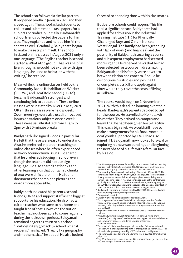The school also followed a similar pattern. It reopened briefly in January 2021 and then closed again. The school asked students to collect and submit model task papers for all subjects periodically. Initially, Baidyanath's school friends collected the papers for him also. They explained and helped him fill the sheets as well. Gradually, Baidyanath began to make these trips himself. The school initiated online classes in August 2021 only in one language. "The English teacher in school started a WhatsApp group. That was helpful. Even though she could not explain with sign language, she used to help a lot with the writing," he recalled.

Meanwhile, the online classes held by the Community Based Rehabilitation Worker (CBRW) and Deaf Role Model (DRM) became Baidyanath's strongest and continuing link to education. These online classes were initiated by KWO in May 2020. Often, three classes were held a week. Zoom meetings were also used for focused inputs on various subjects once a week. These were usually slotted from 11am to 2pm with 20-minute breaks.

Baidyanath like signed videos in particular. He felt that these were easy to understand. Also, he preferred in-person teaching to online classes where he often experienced network/connectivity issues. He shared that he preferred studying in school even though the teachers did not use sign language. He also shared that books and other learning aids that contained chunks of text were difficult for him. He found documents that combined pictures and words more accessible.

Baidyanath indicated his parents, school friends, DRM and support staff as the biggest supports for his education. He also had a tuition teacher who came to his home and taught free of cost. However, the tuition teacher had not been able to come regularly during the lockdown periods. Baidyanath remained eager to return to his school. "I will definitely go back to school when it reopens," he shared. "I really like geography and mathematics," he added. He also looked

forward to spending time with his classmates.

But before schools could reopen, 39 his life took a significant turn. Baidyanath had applied for admission in the Industrial Training Institute (ITI) for Physically Challenged Boys and Girls in Kolkata, West Bengal. The family had been grappling with lack of work (and finances) and the possibility of Baidyanath securing a course and subsequent employment had seemed more urgent. He received news that he had been selected for a course in dressmaking. Baidyanath and his family were now torn between elation and concern. Should he discontinue his studies and join the ITI or complete class XII and apply again? How would they cover the costs of living in Kolkata?

The course would begin on 1 November 2021. With this deadline looming over their heads, Baidyanath's parents decided to opt for the course. He travelled to Kolkata with his mother. They arrived on campus and learnt that he had been given hostel facility. This was a big relief. He would still have to make arrangements for his food. Another deaf youth supported by KWO had also joined ITI. Baidyanath now looked forward to exploring his new surroundings and beginning the next phase of his life with a familiar face by his side.

<sup>32</sup>Completed class XII.

- <sup>35</sup>Regular or mainstream school in contrast to special school for disabled children.
- 36A key Hindu festival in West Bengal wherein pandals (temporary structures) with figures of the deities are worshipped within Hindu homes and community spaces; considered a period of festivities across communities.

<sup>&</sup>lt;sup>29</sup>The WhatsApp groups were formed by the teachers of the four Learning Centres run by CINI in September 2020. Other project staff were also involved. Each group covered students at a particular centre. <sup>30</sup>**The Learning Centre** was closed during 16 March to 30 June 2020. The

centre was opened in July. However, students began to return in October since government norms did not allow people to assemble in groups earlier. The online support was thus continued even as the centres were gradually initiated. In 2021, the centre was closed again during May to June 2021. Here too, students were encouraged to attend as the infection rates dipped and public transport normalised in August 2021.

<sup>&</sup>lt;sup>31</sup>Baidyanath first came in contact with KWO in 2015. He received educational support primarily through home visits.

<sup>33</sup> Mason with considerable skill in construction work. <sup>34</sup>This is a group of parents of deaf children who support other families with deaf children with advice (including information regarding various services/ referrals) and educational inputs. They are mentored for this role by KWO.

<sup>&</sup>lt;sup>37</sup>Twenty deaf children and young people, including Baidyanath visited Science City in the neighbouring district of Siliguri on 25 March 2021. This educational trip was organised by KWO in line with covid protocols.

<sup>38</sup>The centre was closed during end March to July in 2020 and from May to July in 2021.

<sup>&</sup>lt;sup>39</sup>The West Bengal government decided to reopen schools (for classes IX to XII) and colleges from 16 November 2021.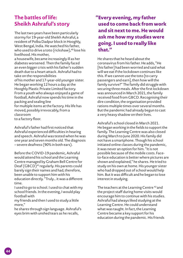## **The battles of life: Sheikh Ashraful's story**

The last two years have been particularly stormy for 19-year-old Sheikh Ashraful, a resident of Polba Dadpur block in Hooghly, West Bengal, India. He watched his father, who used to drive a toto (rickshaw),<sup>40</sup> lose his livelihood. His mother,

a housewife, became increasingly ill as her diabetes worsened. Then the family faced an even bigger crisis with his father's sudden death due to a heart attack. Ashraful had to take on the responsibilities

of his mother and 17-year-old younger sister. He began working 12 hours a day at the Hooghly Plastic Private Limited factory. From a youth who always enjoyed a game of football, Ashraful now spends his time in the packing and sealing line

for multiple items at the factory. His life has moved, possibly irrevocably, from a classroom

to a factory floor.

Ashraful's father had first noticed that Ashraful experienced difficulties in hearing and speech. Ashraful was tested when he was one year and seven months old. The diagnosis – severe deafness (90% in both ears).

Before the COVID-19 pandemic, Ashraful would attend his school and the Learning Centre managed by Graham Bell Centre for Deaf  $(GBCD)^{41}$  regularly. His parents could barely sign their names and had, therefore, been unable to support him with his education directly. "Truly… it was a different time.

I used to go to school. I used to chat with my school friends. In the evening, I would play football with

my friends and then I used to study a little more,"

he shares through sign language. Ashraful's eyes brim with unshed tears as he recalls,

#### **"Every evening, my father used to come back from work and sit next to me. He would ask me how my studies were going. I used to really like that."**

He shares that he heard about the coronavirus from his father. He adds, "He [his father] had been worried and said what will we eat if the lockdown continues like this. If we cannot use the toto [to carry passengers and earn], then how will the family survive?" The family did struggle with securing three meals. After the first lockdown was announced in March 2021, the family received food from GBCD. Recognising their dire condition, the organisation provided rations multiple times over several months. But the pandemic had already begun to cast a very heavy shadow on their lives.

Ashraful's school closed in March 2021. He began working in the fields to support the family. The Learning Centre was also closed during March to June 2020. His family did not have a smartphone. Though his school initiated online classes during the pandemic, it was never an option for him. "It is not possible because of the mobile costs. Faceto-face education is better where pictures are shown and explained," he shares. He tried to study on his own at home. His younger sister who had dropped out of school would help him. But it was difficult and he began to lose interest in studying.

The teachers at the Learning Centre<sup>42</sup> and the project staff during home visits would encourage him to continue with his studies. Ashraful had always liked studying at the Learning Centre. He could understand what was taught. In fact, the Learning Centre became a key support for his education during the pandemic. His friends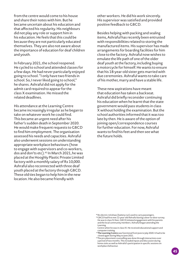from the centre would come to his house and share their notes with him. But he became uncertain about his education and that affected his regularity. His neighbours did not play any role or support him in his education. He feels that this could be because they are not particularly educated themselves. They are also not aware about the importance of education for deaf children and youth.

In February 2021, the school reopened. He cycled to school and attended classes for a few days. He had never particularly enjoyed going to school. "I only have two friends in school. So, I never liked going to school," he shares. Ashraful did not apply for the admit card required to appear for the class X examination. He missed the related deadlines.

His attendance at the Learning Centre became increasingly irregular as he began to take on whatever work he could find. This became an urgent need after his father's sudden death in September 2020. He would make frequent requests to GBCD to find him employment. The organisation assessed his needs and capacities. Ashraful also underwent sessions on understanding appropriate workplace behaviours (how to engage with supervisors and co-workers, dos and don'ts etc).<sup>43</sup> In March 2021, he was placed at the Hooghly Plastic Private Limited factory with a monthly salary of Rs 10,000. Ashraful also reconnected with three deaf youth placed at the factory through GBCD. These old ties began to help him in the new location. He also became friendly with

other workers. He did his work sincerely. His supervisor was satisfied and provided positive feedback to GBCD.

Besides helping with packing and sealing items, Ashraful has recently been entrusted with responsibilities related to storing the manufactured items. His supervisor has made arrangements for boarding facilities for him close to the factory. Ashraful now wishes to emulate the life path of one of the older deaf youth at the factory, including buying a motorcycle for himself. He wants to ensure that his 18-year-old sister gets married with due ceremonies. Ashraful wants to take care of his mother, marry and have a stable life.

These new aspirations have meant that education has taken a backseat. Ashraful did briefly reconsider continuing his education when he learnt that the state government would pass students in class X without holding the examination. But the school authorities informed that it was too late by then. He is aware of the option of joining open/correspondence courses for further education. For now, Ashraful wants to find his feet and then see what the future holds.

40An electric rickshaw (battery run) used to carry passengers.

- <sup>42</sup>**The Learning Centre** was functional from June to July 2020. It had to be closed again during May to June 2021.
- 43The pre-placement counselling was done through interactions over a period of two months. This included inputs and discussion during home visits as well as Ashraful's participation in specific sessions on workplace behaviour.

<sup>41</sup>GBCD had first met 12-year-old Ashraful during a door-to-door survey. He was in class IV then. GBCD initiated engagement with his parents and the local community members. Ashraful began attending the Learning

Centre when he was in class IX. He received educational support and computer training.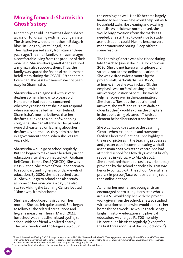## **Moving forward: Sharmistha Ghosh's story**

Nineteen-year-old Sharmistha Ghosh shares a passion for drawing with her younger sister. The sisters live with their mother in Balagarh block in Hooghly, West Bengal, India. Their father passed away from cancer three years ago. The small family of three manages a comfortable living from the produce of their own field. Sharmistha's grandfather, a retired army man, also supports them. Thus, the family was spared the financial troubles that befell many during the COVID-19 pandemic. Even then, the past two years have not been easy for Sharmistha.

Sharmistha was diagnosed with severe deafness when she was two years old. Her parents had become concerned when they realised that she did not respond when someone called her from behind. Sharmistha's mother believes that her deafness is linked to a bout of whooping cough that she had after birth. Her parents were disheartened on learning about her deafness. Nonetheless, they admitted her in a government school when she was six years old.

Sharmistha would go to school regularly. But she began to make more headway in her education after she connected with Graham Bell Centre for the Deaf (GBCD). She was in class VI then. She moved from upper primary to secondary and higher secondary levels of education. By 2020, she had reached class XI. She would go to school and also study at home on her own twice a day. She also started visiting the Learning Centre located 13km away from her home.

She heard about coronavirus from her mother. She had felt quite scared. She began to follow all the related precautions and hygiene measures. Then in March 2021, her school was shut. She missed cycling to school with her friend who lived nearby. The two friends could no longer step out in

the evenings as well. Her life became largely limited to her home. She would help out with household tasks like cleaning and washing utensils. As lockdown norms eased, she would buy provisions from the market as needed. She still tried to continue to study as much as she could. Her life became very monotonous and boring. Sleep offered some respite.

The Learning Centre was also closed during late March to June in the initial lockdown in 2020. She did not have a smartphone and so could not access online education.<sup>45</sup> She was visited twice a month by the project staff, particularly the CBRW, at home. Since she was in class XII, the emphasis was on familiarising her with answering question papers. This would help her score well in the examination. She shares, "Besides the question and answers, the staff [she calls him dada or older brother] would explain the chapters in the books using pictures." The visual element helped her understand better.

She was happy to return to the Learning Centre when it reopened and transport facilities became functional. She highlights the use of pictures in the teaching processes and greater ease in communicating with all as the main positives at the centre. She had attended school for a few days when it briefly reopened in February to March 2021. She completed the model tasks (worksheets) provided by the school periodically. That was her only contact with the school. Overall, she prefers in-person/face-to-face learning rather than online options.

At home, her mother and younger sister encouraged her to study. Her sister, who is in class VI, would help her with the project work given from the school. She also studied with a tuition teacher who would come to her home thrice a week. He would teach Bengali, English, history, education and physical education. He charged Rs 500 monthly. He continued his visits regularly (except for the first three months of the first lockdown).

<sup>44</sup>Sharmistha was identified by GBCD during a survey conducted in 2014. She was then in class VI. The engagement made a significant difference. GBCD worked with her and the family as well as the school to promote deaf friendly teaching learning methodologies. Classroom demonstrations were held for her teachers. Students in her class were also encouraged to form a supportive peer group for her.

<sup>45</sup>Her school had held online classes. But she could not access these due to lack of smartphone.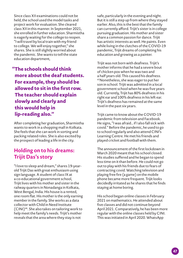Since class XII examinations could not be held, the school used the model tasks and project work for evaluation. She cleared class XII in this manner. In September 2021, she enrolled in further education. Sharmistha is eagerly waiting for the college to reopen. "I will travel by local train with my friend to college. We will enjoy together," she shares. She is still slightly worried about the pandemic. She wants to tell the state education department,

**"The schools should think more about the deaf students. For example, they should be allowed to sit in the first row. The teacher should explain slowly and clearly and this would help in lip-reading also."** 

After completing her graduation, Sharmistha wants to work in a shopping mall in Kolkata. She feels that she can work in sorting and packing related roles. She is also excited by the prospect of leading a life in the city.

#### **Holding on to his dreams: Trijit Das's story**

"I love to sleep and dream," shares 19-yearold Trijit Das with great enthusiasm using sign language. A student of class IX at a co-educational government school, Trijit lives with his mother and sister in the railway quarters in Nonadanga in Kolkata, West Bengal, India. His house is a rented, one room flat. His mother is the only earning member in the family. She works as a data collector with Child in Need Institute (CINI)46. She also takes on tailoring work to help meet the family's needs. Trijit's mother reveals that the area where they stay is not

safe, particularly in the evening and night. But it is still a step up from where they stayed earlier. Also, this is the best that the family can currently afford. Trijit's sister is in college pursuing graduation. His mother and sister share a common passion for dance. Trijit has artistic interests as well. He paints. Even while living in the clutches of the COVID-19 pandemic, Trijit dreams of completing his education and growing as a painter.

Trijit was not born with deafness. Trijit's mother informs that he had a severe bout of chicken pox when he was two and a half years old. This caused his deafness. 47Nonetheless, she was eager to put her son in school. Trijit was admitted in a local government school when he was five years old. Currently, Trijit has 80% deafness in his right ear and 100% deafness in his left ear. Trijit's deafness has remained at the same level in the past six years.

Trijit came to know about the COVID-19 pandemic from television and Facebook. He signs, "I was afraid… if I also fall sick with covid." Before the pandemic, he used to go to school regularly and also attend CINI's Learning Centre. He met his friends and played cricket and football with them.

The announcement of the first lockdown in March 2020 meant that his school closed. His studies suffered and he began to spend less time on it than before. He could not go out to play with his friends due to fears of contracting covid. Watching television and playing free fire (a game) on the mobile phone became more frequent. Trijit looks decidedly irritated as he shares that he finds staying at home boring.

His school began online classes in February 2021 on mathematics. He attended about five classes and did not continue beyond April 2021. Comparatively, he has been more regular with the online classes held by CINI. This was initiated in April 2020. WhatsApp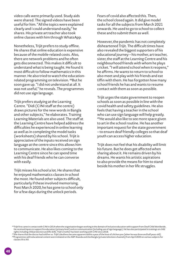video calls were primarily used. Study aids were shared. The signed videos have been useful for him. "All the topics were explained clearly and I could understand easily," he shares. His private art teacher also took online classes with him through WhatsApp.

Nonetheless, Trijit prefers to study offline. He shares that online education is expensive because of the mobile-related costs. Also, there are network problems and he often gets disconnected. This makes it difficult to understand what is being taught. He found it most difficult to follow mathematics in this manner. He also tried to watch the educationrelated programming on television. 48But he soon gave up. "I did not understand at all. It was not useful," he reveals. The programmes did not use sign language.

Trijit prefers studying at the Learning Centre. "Didi (CINI staff at the centre) draws pictures for the new words in Bangla and other subjects," he elaborates. Training Learning Materials are also used. The staff at the Learning Centre have helped address the difficulties he experienced in online learning as well as in completing the model tasks (worksheets) shared by his school. Trijit is appreciative of the inputs received on sign language at the centre since this allows him to communicate. He also likes coming to the Learning Centre since he can spend time with his deaf friends who he can converse with easily.

Trijit misses his school a lot. He shares that he enjoyed mathematics classes in school the most. He found other subjects difficult, particularly if these involved memorising. Post March 2020, he has gone to school only for a few days during the unlock periods.

Fears of covid also affected this. Then, the school closed again. It did give model tasks for all the subjects from March 2021 onwards. He used to go to school to collect these and to submit them as well.

However, the pandemic has not completely disheartened Trijit. The difficult times have also revealed the biggest supporters of his educational journey – his mother, art teacher, sister, the staff at the Learning Centre and his neighbourhood friends with whom he plays cricket. "I will attend school when it reopens," he affirms. He wants to return to school to also meet and play with his friends and eat tiffin with them. He has forgotten how many school friends he has and wants to resume contact with them as soon as possible.

Trijit urges the state government to reopen schools as soon as possible in line with the covid health and safety guidelines. He also feels that having a teacher in the school who can use sign language will help greatly. 49He would also like to see more space given to art in the school routine. He has another important request for the state government – to ensure deaf friendly colleges so that deaf youth can access higher education.

Trijit does not feel that his disability will limit his future. But he does get affected when sharing about it. He remains driven by his dreams. He wants his artistic aspirations to also provide the means for him to stand beside his mother in her life struggles.

<sup>46</sup>Trijit first came in contact with CINI in 2014 when the organisation began working in the domain of inclusive education with support from Deaf Child Worldwide. He received inputs to support his education (primary level) and on communication (including use of sign language). He has also participated in trainings on child rights including child protection and life skills. Trijit's mother has been working with CINI since 2018.

<sup>&</sup>lt;sup>47</sup>She shares that the doctor had told her so. Trijit's deafness became apparent within a year of the bout of chicken pox (when he was three and half years old). 48Programmes with educational content were initiated on the ABP Ananda and Zee Bangla (private television channels) from April 2020 on various subjects for classes IX to XII.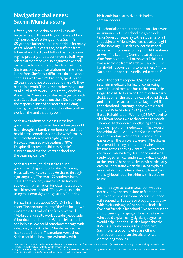#### **Navigating challenges: Sachin Munda's story**

Fifteen-year-old Sachin Munda lives with his parents and three siblings in Falakata block in Alipurduar, West Bengal, India. Sachin's 65-year-old father has been bedridden for many years. About five years ago, he suffered from tuberculosis. He did not follow the medication regime properly and so, continues to be ill. Age related ailments have also begun to take a toll on him. Sachin's mother suffers from arthritis. She is unable to work as a labourer in the fields like before. She finds it difficult to do household chores as well. Sachin's brothers, aged 32 and 29 years, could not study beyond class VI. They had to join work. The eldest brother moved out of Alipurduar for work. He currently works in Assam. His 21-year-old sister managed to reach class X, but had to drop out then. She took on the responsibilities of her mother including cooking for the family. She and another brother work on the land that they own.

Sachin was admitted in class I in the local government school when he was five years old. Even though his family members noticed that he did not respond to sounds, he was formally tested only when he was eight years old. He was diagnosed with deafness (80%). Despite all her responsibilities, Sachin's sister ensured that he went to school and the Learning Centre.<sup>50</sup>

Sachin currently studies in class X in a government high school located 2km away. He usually walks to school. He shares through sign language, "There are 72 students in my class. There are boys and girls." His favourite subject is mathematics. His classmates would help him when needed. "They would explain using their own signs and gestures," he adds.

He had first heard about COVID-19 from his sister. The announcement of the first lockdown in March 2020 had left the family worried. "My brother used to work outside [i.e. outside Alipurduar] as a labourer. We had felt scared and helpless. We could somehow manage with what we grew in the field," he shares. People had to stay indoors. The markets were shut. Sachin could no longer go swimming with

his friends in a nearby river. He had to remain indoors.

His school also shut. It reopened only for a week in January 2021. The school did give model tasks (question papers) to the students for all the subjects. A friend who lives close by – a girl of the same age – used to collect the model tasks for him. She used to help him fill the sheets as well. The Learning Centre, located about 8km from his home in Poteshwar (Falakata) was also closed from March to July 2020. The family did not own a smartphone then.51 Thus, Sachin could not access online education. 52

When the centre reopened, Sachin did not return immediately for fear of contracting covid. He used to take a bus to the centre. He began to visit the Learning Centre only in early 2021. But then the second wave of covid struck and the centre had to be closed again. While the school and Learning Centre were closed, the Deaf Role Model (DRM) and Community Based Rehabilitation Worker (CBRW) used to visit him at home two to three times a month. They would check on his wellbeing and also provide inputs for his education. They would show him signed videos. But Sachin prefers question and answer sheets the most. "It is easier when the answers are given," he shares. In terms of learning arrangements, he prefers lessons at the Learning Centre. "I like to meet everyone, talk with my deaf friends and we all study together. I can understand what is taught at the centre," he shares. He finds it particularly easy to understand when the DRM explains. Meanwhile, his brother, sister and friend [from the neighbourhood] help him with his studies as well.

Sachin is eager to return to school. He does not have any apprehensions or fears about returning to the classroom. "When the school will reopen, I will be able to study and also play with my friends again," he shares. He also has five deaf friends in his school. "No teacher in the school uses sign language. If we had a teacher who could explain using sign language, that would help," he adds. He also hopes that the KWO staff will continue to support him. Sachin wants to complete class XII and then become either an electrician or work on repairing mobiles.

49His school does not have a dedicated special educator. Special educators from Sarva Shiksha Mission (now reframed as Samagra Shiksha Abhiyan) used to visit his

school periodically before the lockdown to provide support.

 $\rm^{50}K$ hagenhat Welfare Organisation (KWO) first came in contact with Sachin during a survey. He was seven years old then. Local community members had spoken about Sachin and his family. Sachin was formally diagnosed the following year.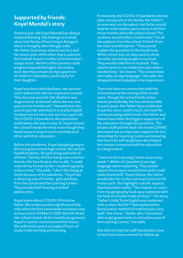#### **Supported by friends: Koyel Mandal's story**

Sixteen-year-old Koyel Mandal has always enjoyed drawing. She belongs to a small, close-knit family of four living in Balagarh block in Hooghly, West Bengal, India. Her father (a primary school teacher) and her seven-year-old brother share a passion for football. Koyel's mother (a homemaker) enjoys music. Neither of her parents could progress beyond the higher secondary level. But they remain strong supporters of children's education, particularly for their daughter.

Koyel was born with deafness. Her parents soon realised she did not respond to sounds. They became worried. Her deafness was diagnosed as 'profound' when she was one year and six months old.53 Nonetheless, her parents got her admitted in a nearby English medium school when she was four years old. The COVID-19 pandemic disrupted their world when she was in class IX. Koyel missed her school friends the most even though they found ways to stay in touch and help each other with their education.

Before the pandemic, Koyel enjoyed going to the local government high school. Her section had 60 students. She got along well with all of them. Twenty of them had grown to be her friends. Her face lit up as she recalls, "I could meet all my friends earlier. I studied regularly in the school." She adds, "I don't like being at home because of the pandemic." Koyel has a vibrant group of friends – girls and boys, from the school and the Learning Centre. They include both hearing and deaf adolescents.

Koyel learnt about COVID-19 from her father. She understood its significance fully only when the first nationwide lockdown was announced on 24 March 2020. She felt afraid. Her school closed. As the months progressed, Koyel's routine centred around her house. She still tried to put in a couple of hours of study in the morning and evening.

Fortunately, the COVID-19 pandemic did not take a heavy toll on the family. Her father's income was not disrupted. Her father would help her with studies, particularly in the first three months when the school closed. The students would collect model tasks<sup>55</sup> for all the subjects from the school. Friends from her class would help her. "They would explain the questions in the model task. While school was on, they used to show me what was being taught in my book. They would underline in my book. They used to write in my notebooks also when I needed help," she shares. "The school does not really use sign language," she adds, the disappointment palpable in her expression.

There has been no connection with the school beyond the sharing of the model tasks. Though her school holds online classes periodically, she has not been able to participate. Her father has a mobile but Koyel has never used it much, not even for communicating with friends. Her father and friends have been the biggest supporters of her education through the pandemic. The project staff and the deaf role model (DRM) also stand out as important supports for her. Attending the Learning Centre and ensuring few hours for self-study have also helped her remain connected with her education to a large extent.

"I went to the Learning Centre once every week.56 All the sirs [teachers] use sign language when explaining. They would repeat the answers several time and I could understand well," Koyel shares. Her father would take her to the Learning Centre on his motorcycle. She highlights specific aspects that have been useful. "The chapter on rivers from my geography book was explained with the help of a model made of shola.<sup>57</sup> The story 'Father's Help' from English was explained with a video. And Sir<sup>58</sup> had explained the factorisation method of mathematics very well," she shares. "Earlier also, I have been able to get good marks in school because of the Learning Centre," she adds.

She informs that the staff would also come to her home once a month for follow up.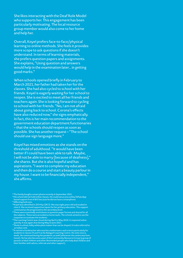She likes interacting with the Deaf Role Model who supports her. This engagement has been particularly motivating. The local resource group member would also come to her home and help her.

Overall, Koyel prefers face-to-face/physical learning to online methods. She feels it provides more scope to ask questions if she doesn't understand. In terms of learning materials, she prefers question papers and assignments. She explains, "Using question and answers would help in the examination later… in getting good marks."

When schools opened briefly in February to March 2021, her father had taken her for the classes. She had also cycled to school with her friends. Koyel is eagerly waiting for her school to reopen. She is excited to meet all her friends and teachers again. She is looking forward to cycling to school with her friends. "No, I am not afraid about going back to school. Corona's effects have also reduced now," she signs emphatically. In fact, this is her main recommendation to the government education department functionaries – that the schools should reopen as soon as possible. She has another request – "The school should use sign language more."

Koyel has mixed emotions as she stands on the threshold of adulthood. "It would have been better if I could have been able to talk. Maybe, I will not be able to marry [because of deafness]," she shares. But she is also hopeful and has aspirations. "I want to complete my education and then do a course and start a beauty parlour in my house. I want to be financially independent," she affirms.

<sup>51</sup>The family bought a smart phone recently in September 2021.

- 52His school did not hold online classes. He could not access online/WhatsApp based support from KWO because he did not have a smartphone.
- 53 Affecting both ears. 54Koyel was identified in 2014 by GBCD. She was eight years old and studied in class II. She received supportive inputs for her primary education. This support
- continued as she progressed to the secondary level. <sup>55</sup>These were essentially worksheets in question paper format and shared for all the subjects. These were provided as home tasks. The schools aimed to use the responses to evaluate the students.
- 56The Learning Centre was closed during April to May 2020. It reopened subse quently. It was again shut during May to June 2021
- $57$ Shola is a dried, milky white plant matter that can be shaped. It is also referred to as Indian cork.
- $\frac{58}{18}$  retired schoolteacher who teaches mathematics and science particularly for students in classes IX and X at the Balagarh Learning Centre. He visits once a week. He continued during the pandemic as well (whenever the centre was func tional). He has also become a part of the Community Resource Group (a group of parents of deaf children and other likeminded people who help deaf children and their families with advice, referrals and other support).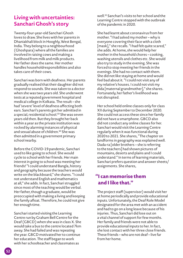### **Living with uncertainties: Sanchari Ghosh's story**

Twenty-four-year-old Sanchari Ghosh loves to draw. She lives with her parents in Dhaniakhali block in Hooghly, West Bengal, India. They belong to a neighbourhood (Ghoshpara) where all the families are involved in raising cows and making a livelihood from milk and milk products. Her father does the same. Her mother handles householdresponsibilities and also takes care of their cows.

Sanchari was born with deafness. Her parents gradually realised that their daughter did not respond to sounds. She was taken to a doctor when she was two years old. She underwent tests at a reputed government hospital and medical college in Kolkata. The result – she had 'severe' level of deafness affecting both ears. Sanchari's parents got her admitted in a special, residential school.<sup>59</sup> She was seven years old then. But they brought her back within a year as the private institution was rocked by alarming instances of physical and sexual abuse of children.<sup>60</sup> She was then admitted in a government primary school nearby.

Before the COVID-19 pandemic, Sanchari used to like going to school. She would cycle to school with her friends. Her main interest in going to school was meeting her friends! "I could understand Bangla, history and geography because the teachers would write on the blackboard," she shares. "I could not understand English and mathematics at all," she adds. In fact, Sanchari struggled since most of the teaching would be verbal. Her father, though a graduate, would be preoccupied with making a living and keeping the family afloat. Therefore, he could not give her enough time.

Sanchari started visiting the Learning Centre run by Graham Bell Centre for the Deaf (GBCD) when she was in class X. She would take a bus to the centre located 7km away. She had failed and was repeating the year. GBCD motivated her to continue her education. The staff began to work with her schoolteacher and classmates as

well.61 Sanchari's visits to her school and the Learning Centre stopped with the outbreak of the pandemic in 2020.

She had learnt about coronavirus from her mother. "I had asked my mother – why is everyone covering their face with a cloth [mask]," she recalls. "I had felt quite scared," she adds. At home, she would help her mother in the household chores – cooking, washing utensils and clothes etc. She would also try to study in the evening. She was forced to stop meeting her friends in the evenings. She had no contact with them. She did not like staying at home and would feel bad about it. "I could not visit any of my relative's houses. I could not visit my dida [maternal grandmother]," she shares. Fortunately, her father's livelihood was not disrupted.

Her school held online classes only for class XII during September to December 2020. She could not access these since her family did not have a smartphone. GBCD also did not conduct any online classes for her. Sanchari would visit the Learning Centre regularly when it was functional during 2020 to 2021. She shares, "The chapter on landforms in geography was explained well. Dada-ra [older brothers – she is referring to the teachers] had shown pictures of mountains, deserts and plains and I could understand." In terms of learning materials, Sanchari prefers question and answer sheets/ assignments. She shares,

#### **"I can memorise them and I like that."**

The project staff (supervisor) would visit her at home periodically and provide educational inputs. Unfortunately, the Deaf Role Model designated for the area met with an accident and had to go on a long leave because of his injuries. Thus, Sanchari did lose out on a vital channel of support for few months. Her family and friends were not able to provide educational inputs to her. In fact, she lost contact with her three close friends. These friends – who are not deaf – live far from her home.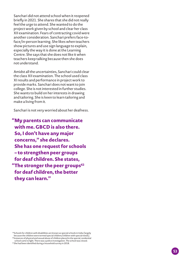Sanchari did not attend school when it reopened briefly in 2021. She shares that she did not really feel the urge to attend. She wanted to do the project work given by school and clear her class XII examination. Fears of contracting covid were another consideration. Sanchari prefers face-toface/in-person learning. She likes when teachers show pictures and use sign language to explain, especially the way it is done at the Learning Centre. She says that she does not like it when teachers keep talking because then she does not understand.

Amidst all the uncertainties, Sanchari could clear the class XII examination. The school used class XI results and performance in project work to provide marks. Sanchari does not want to join college. She is not interested in further studies. She wants to build on her interests in drawing and tailoring. She is keen to learn tailoring and make a living from it.

Sanchari is not very worried about her deafness.

**"My parents can communicate with me. GBCD is also there. So, I don't have any major concerns," she declares. She has one request for schools – to strengthen peer groups for deaf children. She states, "The stronger the peer groups62 for deaf children, the better they can learn."**

59Schools for children with disabilities are known as special schools in India (largely because the children were termed special children/children with special needs)  $^{60}$ Instances of physical and sexual abuse of children placed in the special, residential school came to light. There was a police investigation. The school was closed.

 $61$ She had been identified during a household survey in 2018.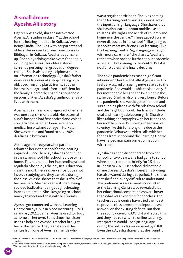# **A small dream: Ayesha Ali's story**

Eighteen-year-old, shy and introverted Ayesha Ali studies in class IX at the school for the hearing impaired in Kolkata, West Bengal, India. She lives with her parents and older sister in a rented, one room house in Bibibagan in Kolkata. Ayesha loves make up. She enjoys doing make overs for people, including her sister. Her older sister is currently pursuing her graduation degree in college. She is also doing a diploma course on information technology. Ayesha's father works as a labourer at a shop dealing with old/used iron and plastic items. But the income is meagre and often insufficient for the family. Her mother handles household responsibilities. Ayesha's grandmother also lives with them.

Ayesha's deafness was diagnosed when she was one year six months old. Her paternal aunt's husband had first noticed and voiced concern. She had then been taken to a medical hospital and college in Kolkata. She was tested and found to have 90% deafness in both ears.

At the age of three years, her parents admitted her in the school for the hearing impaired. Since then, Ayesha has continued in the same school. Her school is close to her home. This has helped her in attending school regularly. She enjoys the physical education class the most. Her reason – since it does not involve studying and they can play during the class! Ayesha shares that she is afraid of her teachers. She had seen a student being scolded badly after being caught cheating in an examination. She likes going to school mainly to meet and chat with her friends.

Ayesha got connected with the Learning Centre run by Child in Need Institute (CINI) in January 2021. Earlier, Ayesha used to study at home on her own. Sometimes, her sister used to help her. Ayesha's mother brought her to the centre. They learnt about the centre from one of Ayesha's friends who

was a regular participant. She likes coming to the learning centre and is appreciative of the inputs on sign language. She shares that she has also learned about mobile use and related risks, rights and needs of children and hygiene in the centre.<sup>63</sup> These aspects were never discussed in her school. "I like going to school to meet my friends. For learning, I like the Learning Centre. Sign language is taught with more care here," she shares. Ayesha is reticent when probed further about academic aspects. "I like coming to the centre. But it is not for studies," she finally declares.

The covid pandemic has cast a significant influence on her life. Initially, Ayesha used to feel very scared on seeing news related to the pandemic. She would be able to sleep only if her mother held her and the two slept in the same bed. She has also felt very lonely. Before the pandemic, she would go to markets and surrounding places with friends from school and the neighbourhood. Her friends include deaf and hearing adolescent girls. She also likes taking photographs with her friends on her mobile phone. But she has been unable to enjoy like this for a long time due to the pandemic. WhatsApp video calls with her friends from school and the Learning Centre have helped maintain some connection with them.

Ayesha has been disconnected from her school for two years. She had gone to school when it had reopened briefly for 15 days in February 2021. Her school did not hold online classes. Ayesha's interest in studying has also waned during this period. She shares that she finds it very difficult to understand. The preliminary assessments conducted at the Learning Centre also revealed that her educational competencies were lower than what was expected for her class. The teachers at the centre have tried their best to provide class-appropriate inputs as well as work on the existing deficits. But then the second wave of COVID-19 affected this and they had to switch to online teaching. Interpreters would use sign language during the online classes initiated by CINI. Even then, Ayesha shares that she found it

<sup>62</sup>Schools for children with disabilities are known as special schools in India (largely because the children were termed special children/children with special needs).

<sup>63</sup>Instances of physical and sexual abuse of children placed in the special, residential school came to light. There was a police investigation. The school was closed. 64She had been identified during a household survey in 2018.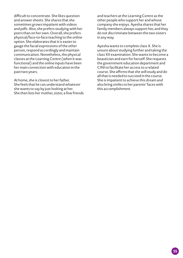difficult to concentrate. She likes question and answer sheets. She shares that she sometimes grows impatient with videos and pdfs. Also, she prefers studying with her peers than on her own. Overall, she prefers physical/face-to-face teaching to the online option. She elaborates that it is easier to gauge the facial expressions of the other person, respond accordingly and maintain communication. Nonetheless, the physical classes at the Learning Centre (when it was functional) and the online inputs have been her main connection with education in the past two years.

At home, she is closest to her father. She feels that he can understand whatever she wants to say by just looking at her. She then lists her mother, sister, a few friends

and teachers at the Learning Centre as the other people who support her and whose company she enjoys. Ayesha shares that her family members always support her, and they do not discriminate between the two sisters in any way.

Ayesha wants to complete class X. She is unsure about studying further and taking the class XII examination. She wants to become a beautician and earn for herself. She requests the government education department and CINI to facilitate her access to a related course. She affirms that she will study and do all that is needed to succeed in the course. She is impatient to achieve this dream and also bring smiles to her parents' faces with this accomplishment.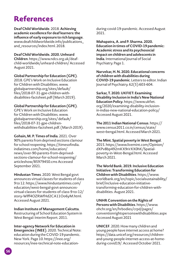# **References**

**Deaf Child Worldwide**. 2018. **Achieving academic excellence for deaf learners: the influence of early exposure to rich language**. www.deafchildworldwide.info/publications\_ and\_resources/index.html. 2018.

#### **Deaf Child Worldwide. 2020. Unheard**

**Children**. https://www.ndcs.org.uk/deafchild-worldwide/unheard-children/ Accessed August 2021.

#### **Global Partnership for Education (GPE)**.

2018. GPE's Work on Inclusive Education for Children with Disabilities. www. globalpartnership.org/sites/default/ files/2018-07-31-gpe-children-withdisabilities-factsheet.pdf (March 2019).

#### **Global Partnership for Education (GPE)**.

GPE's Work on Inclusive Education for Children with Disabilities. www. globalpartnership.org/sites/ default/ files/2018-07-31-gpe-childrenwithdisabilities-factsheet.pdf. (March 2019).

**Gohain, M. P. Times of India**. 2021. Over 90% parents from deprived sections clamour for school reopening. https://timesofindia. indiatimes.com/home/education/ news/over-90-parents-from-deprivedsections-clamour-for-school-reopening/ articleshow/85979450.cms Accessed September 2021.

**Hindustan Times**. 2020. West Bengal govt announces virtual classes for students of class 9 to 12. https://www.hindustantimes.com/ education/west-bengal-govt-announcesvirtual-classes-for-students-of-class-9-to-12/ story-Wlff4OZRWfHd2CA11Oo6yM.html. Accessed August 2021.

**Indian Institute of Management Calcutta**. Restructuring of School Education System in West Bengal: Interim Report. 2011.

**Inter-agency Network for Education in Emergencies (INEE)**. 2020. Technical Note: education during the COVID-19 pandemic. New York. Page 10. https://inee.org/ resources/inee-technical-note-educationduring-covid-19-pandemic. Accessed August 2021.

**Mahapatra, A. and P. Sharma. 2020. Education in times of COVID-19 pandemic: Academic stress and its psychosocial impact on children and adolescents in India**. International Journal of Social Psychiatry. Page 1.

**Narvekar, H. N. 2020. Educational concerns of children with disabilities during COVID-19 pandemic**. Letters to editor. Indian Journal of Psychiatry. 62(5):603-604.

**Sarkar, T. 2020. UKFIET: Examining Disability Inclusion in India's New National Education Policy**. https://www.ukfiet. org/2020/examining-disability-inclusionin-indias-new-national-education-policy/ Accessed August 2021.

**The 2011 Indian National Census**. https:// www.census2011.co.in/census/state/ west+bengal.html. Accessed March 2021.

#### **The Mint. Spatial poverty in West Bengal**.

2015. https://www.livemint.com/Opinion/ dXPv8bp492mKX9rirXX0hK/Spatialpoverty-in-West-Bengal.html. Accessed March 2021.

**The World Bank. 2019. Inclusive Education Initiative: Transforming Education for Children with Disabilities**. https://www. worldbank.org/en/topic/socialsustainability/ brief/inclusive-education-initiativetransforming-education-for-children-withdisabilities. August 2021.

**UNHR Convention on the Rights of Persons with Disabilities**. https://www. ohchr.org/en/hrbodies/crpd/pages/ conventionrightspersonswithdisabilities.aspx Accessed August 2021

**UNICEF**. 2020. How many children and young people have internet access at home? https://data.unicef.org/resources/childrenand-young-people-internet-access-at-homeduring-covid19/. Accessed October 2021.